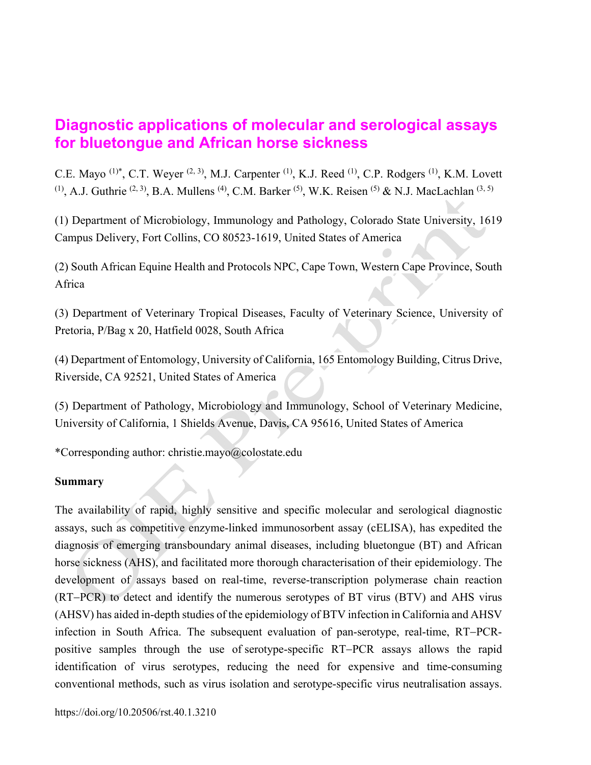# **Diagnostic applications of molecular and serological assays for bluetongue and African horse sickness**

C.E. Mayo<sup>(1)\*</sup>, C.T. Weyer<sup>(2, 3)</sup>, M.J. Carpenter<sup>(1)</sup>, K.J. Reed<sup>(1)</sup>, C.P. Rodgers<sup>(1)</sup>, K.M. Lovett  $(1)$ , A.J. Guthrie  $(2, 3)$ , B.A. Mullens  $(4)$ , C.M. Barker  $(5)$ , W.K. Reisen  $(5)$  & N.J. MacLachlan  $(3, 5)$ 

(1) Department of Microbiology, Immunology and Pathology, Colorado State University, 1619 Campus Delivery, Fort Collins, CO 80523-1619, United States of America

(2) South African Equine Health and Protocols NPC, Cape Town, Western Cape Province, South Africa

(3) Department of Veterinary Tropical Diseases, Faculty of Veterinary Science, University of Pretoria, P/Bag x 20, Hatfield 0028, South Africa

(4) Department of Entomology, University of California, 165 Entomology Building, Citrus Drive, Riverside, CA 92521, United States of America

(5) Department of Pathology, Microbiology and Immunology, School of Veterinary Medicine, University of California, 1 Shields Avenue, Davis, CA 95616, United States of America

\*Corresponding author: christie.mayo@colostate.edu

## **Summary**

The availability of rapid, highly sensitive and specific molecular and serological diagnostic assays, such as competitive enzyme-linked immunosorbent assay (cELISA), has expedited the diagnosis of emerging transboundary animal diseases, including bluetongue (BT) and African horse sickness (AHS), and facilitated more thorough characterisation of their epidemiology. The development of assays based on real-time, reverse-transcription polymerase chain reaction  $(RT-PCR)$  to detect and identify the numerous serotypes of BT virus  $(BTV)$  and AHS virus (AHSV) has aided in-depth studies of the epidemiology of BTV infection in California and AHSV infection in South Africa. The subsequent evaluation of pan-serotype, real-time, RT-PCRpositive samples through the use of serotype-specific RT-PCR assays allows the rapid identification of virus serotypes, reducing the need for expensive and time-consuming conventional methods, such as virus isolation and serotype-specific virus neutralisation assays.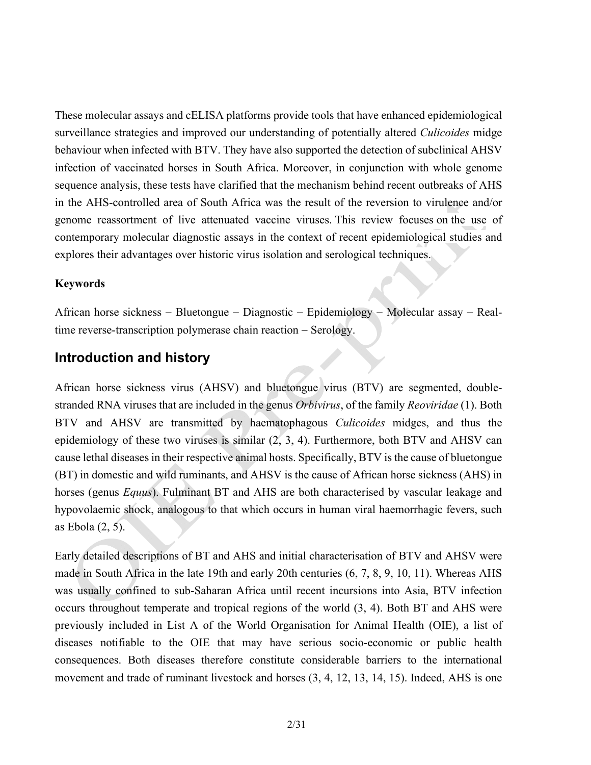These molecular assays and cELISA platforms provide tools that have enhanced epidemiological surveillance strategies and improved our understanding of potentially altered *Culicoides* midge behaviour when infected with BTV. They have also supported the detection of subclinical AHSV infection of vaccinated horses in South Africa. Moreover, in conjunction with whole genome sequence analysis, these tests have clarified that the mechanism behind recent outbreaks of AHS in the AHS-controlled area of South Africa was the result of the reversion to virulence and/or genome reassortment of live attenuated vaccine viruses. This review focuses on the use of contemporary molecular diagnostic assays in the context of recent epidemiological studies and explores their advantages over historic virus isolation and serological techniques.

### **Keywords**

African horse sickness – Bluetongue – Diagnostic – Epidemiology – Molecular assay – Realtime reverse-transcription polymerase chain reaction – Serology.

## **Introduction and history**

African horse sickness virus (AHSV) and bluetongue virus (BTV) are segmented, doublestranded RNA viruses that are included in the genus *Orbivirus*, of the family *Reoviridae* (1). Both BTV and AHSV are transmitted by haematophagous *Culicoides* midges, and thus the epidemiology of these two viruses is similar (2, 3, 4). Furthermore, both BTV and AHSV can cause lethal diseases in their respective animal hosts. Specifically, BTV is the cause of bluetongue (BT) in domestic and wild ruminants, and AHSV is the cause of African horse sickness (AHS) in horses (genus *Equus*). Fulminant BT and AHS are both characterised by vascular leakage and hypovolaemic shock, analogous to that which occurs in human viral haemorrhagic fevers, such as Ebola (2, 5).

Early detailed descriptions of BT and AHS and initial characterisation of BTV and AHSV were made in South Africa in the late 19th and early 20th centuries (6, 7, 8, 9, 10, 11). Whereas AHS was usually confined to sub-Saharan Africa until recent incursions into Asia, BTV infection occurs throughout temperate and tropical regions of the world (3, 4). Both BT and AHS were previously included in List A of the World Organisation for Animal Health (OIE), a list of diseases notifiable to the OIE that may have serious socio-economic or public health consequences. Both diseases therefore constitute considerable barriers to the international movement and trade of ruminant livestock and horses (3, 4, 12, 13, 14, 15). Indeed, AHS is one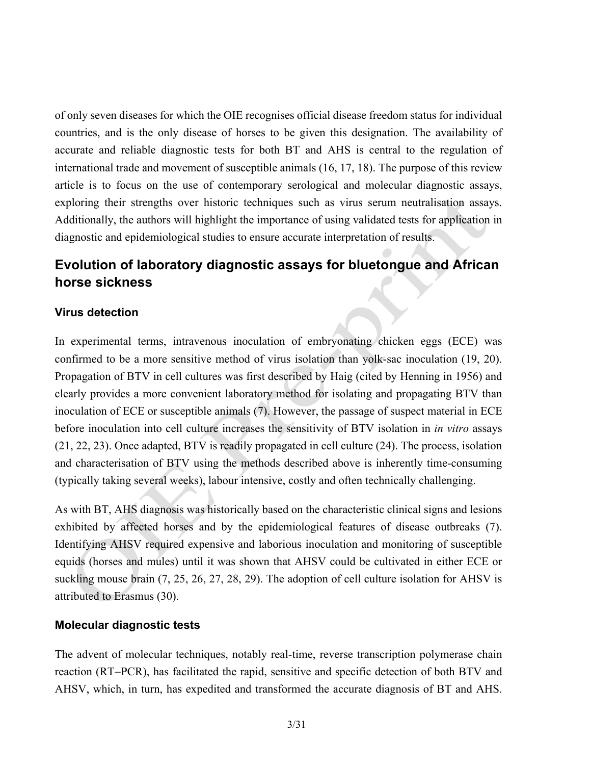of only seven diseases for which the OIE recognises official disease freedom status for individual countries, and is the only disease of horses to be given this designation. The availability of accurate and reliable diagnostic tests for both BT and AHS is central to the regulation of international trade and movement of susceptible animals (16, 17, 18). The purpose of this review article is to focus on the use of contemporary serological and molecular diagnostic assays, exploring their strengths over historic techniques such as virus serum neutralisation assays. Additionally, the authors will highlight the importance of using validated tests for application in diagnostic and epidemiological studies to ensure accurate interpretation of results.

## **Evolution of laboratory diagnostic assays for bluetongue and African horse sickness**

## **Virus detection**

In experimental terms, intravenous inoculation of embryonating chicken eggs (ECE) was confirmed to be a more sensitive method of virus isolation than yolk-sac inoculation (19, 20). Propagation of BTV in cell cultures was first described by Haig (cited by Henning in 1956) and clearly provides a more convenient laboratory method for isolating and propagating BTV than inoculation of ECE or susceptible animals (7). However, the passage of suspect material in ECE before inoculation into cell culture increases the sensitivity of BTV isolation in *in vitro* assays (21, 22, 23). Once adapted, BTV is readily propagated in cell culture (24). The process, isolation and characterisation of BTV using the methods described above is inherently time-consuming (typically taking several weeks), labour intensive, costly and often technically challenging.

As with BT, AHS diagnosis was historically based on the characteristic clinical signs and lesions exhibited by affected horses and by the epidemiological features of disease outbreaks (7). Identifying AHSV required expensive and laborious inoculation and monitoring of susceptible equids (horses and mules) until it was shown that AHSV could be cultivated in either ECE or suckling mouse brain (7, 25, 26, 27, 28, 29). The adoption of cell culture isolation for AHSV is attributed to Erasmus (30).

#### **Molecular diagnostic tests**

The advent of molecular techniques, notably real-time, reverse transcription polymerase chain reaction (RT-PCR), has facilitated the rapid, sensitive and specific detection of both BTV and AHSV, which, in turn, has expedited and transformed the accurate diagnosis of BT and AHS.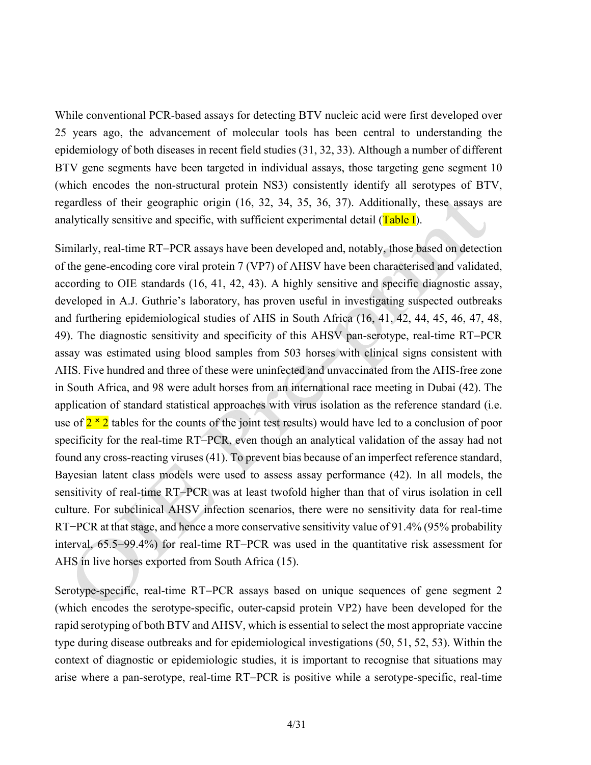While conventional PCR-based assays for detecting BTV nucleic acid were first developed over 25 years ago, the advancement of molecular tools has been central to understanding the epidemiology of both diseases in recent field studies (31, 32, 33). Although a number of different BTV gene segments have been targeted in individual assays, those targeting gene segment 10 (which encodes the non-structural protein NS3) consistently identify all serotypes of BTV, regardless of their geographic origin (16, 32, 34, 35, 36, 37). Additionally, these assays are analytically sensitive and specific, with sufficient experimental detail  $(Table I)$ .

Similarly, real-time RT-PCR assays have been developed and, notably, those based on detection of the gene-encoding core viral protein 7 (VP7) of AHSV have been characterised and validated, according to OIE standards (16, 41, 42, 43). A highly sensitive and specific diagnostic assay, developed in A.J. Guthrie's laboratory, has proven useful in investigating suspected outbreaks and furthering epidemiological studies of AHS in South Africa (16, 41, 42, 44, 45, 46, 47, 48, 49). The diagnostic sensitivity and specificity of this AHSV pan-serotype, real-time RT-PCR assay was estimated using blood samples from 503 horses with clinical signs consistent with AHS. Five hundred and three of these were uninfected and unvaccinated from the AHS-free zone in South Africa, and 98 were adult horses from an international race meeting in Dubai (42). The application of standard statistical approaches with virus isolation as the reference standard (i.e. use of  $2 \times 2$  tables for the counts of the joint test results) would have led to a conclusion of poor specificity for the real-time RT–PCR, even though an analytical validation of the assay had not found any cross-reacting viruses (41). To prevent bias because of an imperfect reference standard, Bayesian latent class models were used to assess assay performance (42). In all models, the sensitivity of real-time RT-PCR was at least twofold higher than that of virus isolation in cell culture. For subclinical AHSV infection scenarios, there were no sensitivity data for real-time RT−PCR at that stage, and hence a more conservative sensitivity value of 91.4% (95% probability interval,  $65.5-99.4\%$ ) for real-time RT-PCR was used in the quantitative risk assessment for AHS in live horses exported from South Africa (15).

Serotype-specific, real-time RT-PCR assays based on unique sequences of gene segment 2 (which encodes the serotype-specific, outer-capsid protein VP2) have been developed for the rapid serotyping of both BTV and AHSV, which is essential to select the most appropriate vaccine type during disease outbreaks and for epidemiological investigations (50, 51, 52, 53). Within the context of diagnostic or epidemiologic studies, it is important to recognise that situations may arise where a pan-serotype, real-time RT-PCR is positive while a serotype-specific, real-time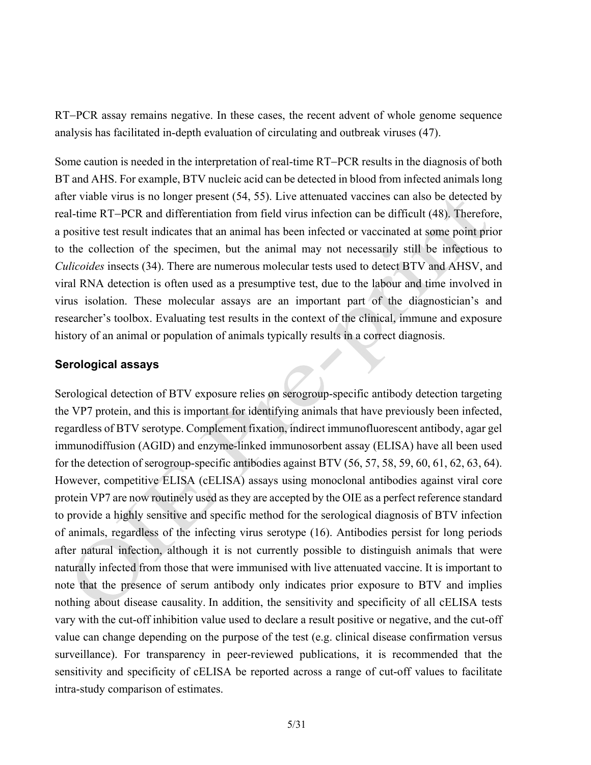RT-PCR assay remains negative. In these cases, the recent advent of whole genome sequence analysis has facilitated in-depth evaluation of circulating and outbreak viruses (47).

Some caution is needed in the interpretation of real-time RT-PCR results in the diagnosis of both BT and AHS. For example, BTV nucleic acid can be detected in blood from infected animals long after viable virus is no longer present (54, 55). Live attenuated vaccines can also be detected by real-time RT-PCR and differentiation from field virus infection can be difficult (48). Therefore, a positive test result indicates that an animal has been infected or vaccinated at some point prior to the collection of the specimen, but the animal may not necessarily still be infectious to *Culicoides* insects (34). There are numerous molecular tests used to detect BTV and AHSV, and viral RNA detection is often used as a presumptive test, due to the labour and time involved in virus isolation. These molecular assays are an important part of the diagnostician's and researcher's toolbox. Evaluating test results in the context of the clinical, immune and exposure history of an animal or population of animals typically results in a correct diagnosis.

### **Serological assays**

Serological detection of BTV exposure relies on serogroup-specific antibody detection targeting the VP7 protein, and this is important for identifying animals that have previously been infected, regardless of BTV serotype. Complement fixation, indirect immunofluorescent antibody, agar gel immunodiffusion (AGID) and enzyme-linked immunosorbent assay (ELISA) have all been used for the detection of serogroup-specific antibodies against BTV (56, 57, 58, 59, 60, 61, 62, 63, 64). However, competitive ELISA (cELISA) assays using monoclonal antibodies against viral core protein VP7 are now routinely used as they are accepted by the OIE as a perfect reference standard to provide a highly sensitive and specific method for the serological diagnosis of BTV infection of animals, regardless of the infecting virus serotype (16). Antibodies persist for long periods after natural infection, although it is not currently possible to distinguish animals that were naturally infected from those that were immunised with live attenuated vaccine. It is important to note that the presence of serum antibody only indicates prior exposure to BTV and implies nothing about disease causality. In addition, the sensitivity and specificity of all cELISA tests vary with the cut-off inhibition value used to declare a result positive or negative, and the cut-off value can change depending on the purpose of the test (e.g. clinical disease confirmation versus surveillance). For transparency in peer-reviewed publications, it is recommended that the sensitivity and specificity of cELISA be reported across a range of cut-off values to facilitate intra-study comparison of estimates.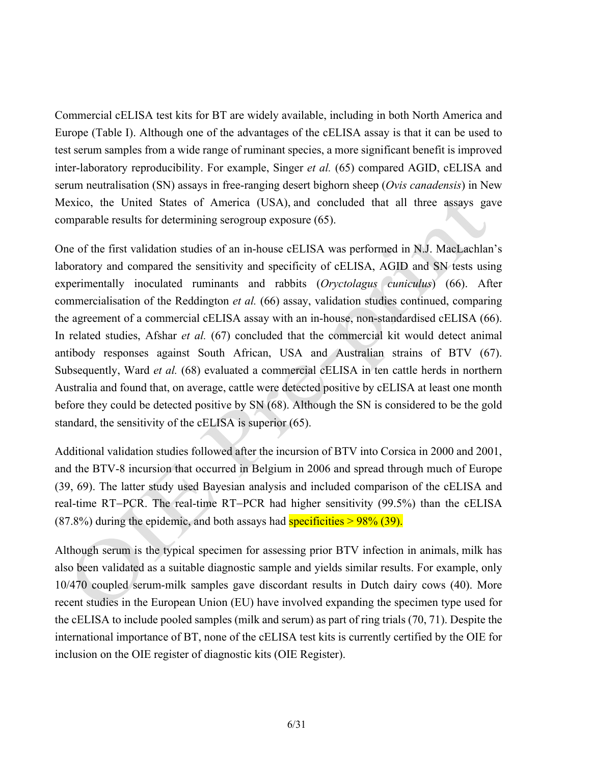Commercial cELISA test kits for BT are widely available, including in both North America and Europe (Table I). Although one of the advantages of the cELISA assay is that it can be used to test serum samples from a wide range of ruminant species, a more significant benefit is improved inter-laboratory reproducibility. For example, Singer *et al.* (65) compared AGID, cELISA and serum neutralisation (SN) assays in free-ranging desert bighorn sheep (*Ovis canadensis*) in New Mexico, the United States of America (USA), and concluded that all three assays gave comparable results for determining serogroup exposure (65).

One of the first validation studies of an in-house cELISA was performed in N.J. MacLachlan's laboratory and compared the sensitivity and specificity of cELISA, AGID and SN tests using experimentally inoculated ruminants and rabbits (*Oryctolagus cuniculus*) (66). After commercialisation of the Reddington *et al.* (66) assay, validation studies continued, comparing the agreement of a commercial cELISA assay with an in-house, non-standardised cELISA (66). In related studies, Afshar *et al.* (67) concluded that the commercial kit would detect animal antibody responses against South African, USA and Australian strains of BTV (67). Subsequently, Ward *et al.* (68) evaluated a commercial cELISA in ten cattle herds in northern Australia and found that, on average, cattle were detected positive by cELISA at least one month before they could be detected positive by SN (68). Although the SN is considered to be the gold standard, the sensitivity of the cELISA is superior (65).

Additional validation studies followed after the incursion of BTV into Corsica in 2000 and 2001, and the BTV-8 incursion that occurred in Belgium in 2006 and spread through much of Europe (39, 69). The latter study used Bayesian analysis and included comparison of the cELISA and real-time RT-PCR. The real-time RT-PCR had higher sensitivity  $(99.5\%)$  than the cELISA  $(87.8%)$  during the epidemic, and both assays had **specificities** >  $98\%$  (39).

Although serum is the typical specimen for assessing prior BTV infection in animals, milk has also been validated as a suitable diagnostic sample and yields similar results. For example, only 10/470 coupled serum-milk samples gave discordant results in Dutch dairy cows (40). More recent studies in the European Union (EU) have involved expanding the specimen type used for the cELISA to include pooled samples (milk and serum) as part of ring trials (70, 71). Despite the international importance of BT, none of the cELISA test kits is currently certified by the OIE for inclusion on the OIE register of diagnostic kits (OIE Register).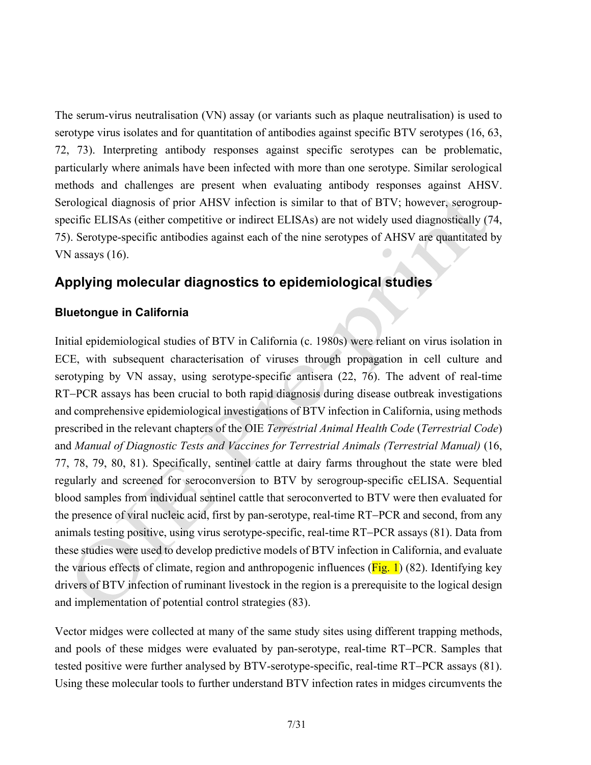The serum-virus neutralisation (VN) assay (or variants such as plaque neutralisation) is used to serotype virus isolates and for quantitation of antibodies against specific BTV serotypes (16, 63, 72, 73). Interpreting antibody responses against specific serotypes can be problematic, particularly where animals have been infected with more than one serotype. Similar serological methods and challenges are present when evaluating antibody responses against AHSV. Serological diagnosis of prior AHSV infection is similar to that of BTV; however, serogroupspecific ELISAs (either competitive or indirect ELISAs) are not widely used diagnostically (74, 75). Serotype-specific antibodies against each of the nine serotypes of AHSV are quantitated by VN assays (16).

## **Applying molecular diagnostics to epidemiological studies**

## **Bluetongue in California**

Initial epidemiological studies of BTV in California (c. 1980s) were reliant on virus isolation in ECE, with subsequent characterisation of viruses through propagation in cell culture and serotyping by VN assay, using serotype-specific antisera (22, 76). The advent of real-time RT-PCR assays has been crucial to both rapid diagnosis during disease outbreak investigations and comprehensive epidemiological investigations of BTV infection in California, using methods prescribed in the relevant chapters of the OIE *Terrestrial Animal Health Code* (*Terrestrial Code*) and *Manual of Diagnostic Tests and Vaccines for Terrestrial Animals (Terrestrial Manual)* (16, 77, 78, 79, 80, 81). Specifically, sentinel cattle at dairy farms throughout the state were bled regularly and screened for seroconversion to BTV by serogroup-specific cELISA. Sequential blood samples from individual sentinel cattle that seroconverted to BTV were then evaluated for the presence of viral nucleic acid, first by pan-serotype, real-time RT-PCR and second, from any animals testing positive, using virus serotype-specific, real-time RT-PCR assays (81). Data from these studies were used to develop predictive models of BTV infection in California, and evaluate the various effects of climate, region and anthropogenic influences ( $\overline{Fig. 1}$ ) (82). Identifying key drivers of BTV infection of ruminant livestock in the region is a prerequisite to the logical design and implementation of potential control strategies (83).

Vector midges were collected at many of the same study sites using different trapping methods, and pools of these midges were evaluated by pan-serotype, real-time RT-PCR. Samples that tested positive were further analysed by  $BTV$ -serotype-specific, real-time  $RT$ – $PCR$  assays (81). Using these molecular tools to further understand BTV infection rates in midges circumvents the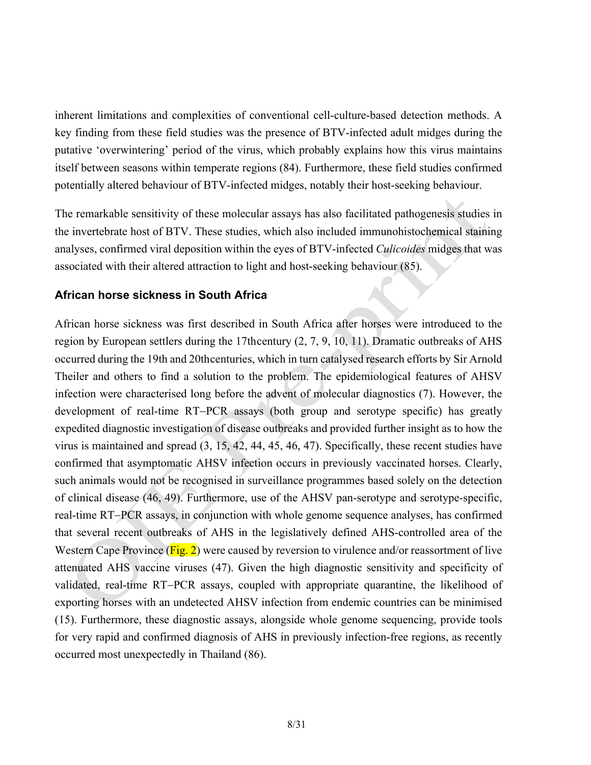inherent limitations and complexities of conventional cell-culture-based detection methods. A key finding from these field studies was the presence of BTV-infected adult midges during the putative 'overwintering' period of the virus, which probably explains how this virus maintains itself between seasons within temperate regions (84). Furthermore, these field studies confirmed potentially altered behaviour of BTV-infected midges, notably their host-seeking behaviour.

The remarkable sensitivity of these molecular assays has also facilitated pathogenesis studies in the invertebrate host of BTV. These studies, which also included immunohistochemical staining analyses, confirmed viral deposition within the eyes of BTV-infected *Culicoides* midges that was associated with their altered attraction to light and host-seeking behaviour (85).

## **African horse sickness in South Africa**

African horse sickness was first described in South Africa after horses were introduced to the region by European settlers during the 17thcentury (2, 7, 9, 10, 11). Dramatic outbreaks of AHS occurred during the 19th and 20thcenturies, which in turn catalysed research efforts by Sir Arnold Theiler and others to find a solution to the problem. The epidemiological features of AHSV infection were characterised long before the advent of molecular diagnostics (7). However, the development of real-time RT-PCR assays (both group and serotype specific) has greatly expedited diagnostic investigation of disease outbreaks and provided further insight as to how the virus is maintained and spread (3, 15, 42, 44, 45, 46, 47). Specifically, these recent studies have confirmed that asymptomatic AHSV infection occurs in previously vaccinated horses. Clearly, such animals would not be recognised in surveillance programmes based solely on the detection of clinical disease (46, 49). Furthermore, use of the AHSV pan-serotype and serotype-specific, real-time RT-PCR assays, in conjunction with whole genome sequence analyses, has confirmed that several recent outbreaks of AHS in the legislatively defined AHS-controlled area of the Western Cape Province  $(Fig. 2)$  were caused by reversion to virulence and/or reassortment of live attenuated AHS vaccine viruses (47). Given the high diagnostic sensitivity and specificity of validated, real-time RT-PCR assays, coupled with appropriate quarantine, the likelihood of exporting horses with an undetected AHSV infection from endemic countries can be minimised (15). Furthermore, these diagnostic assays, alongside whole genome sequencing, provide tools for very rapid and confirmed diagnosis of AHS in previously infection-free regions, as recently occurred most unexpectedly in Thailand (86).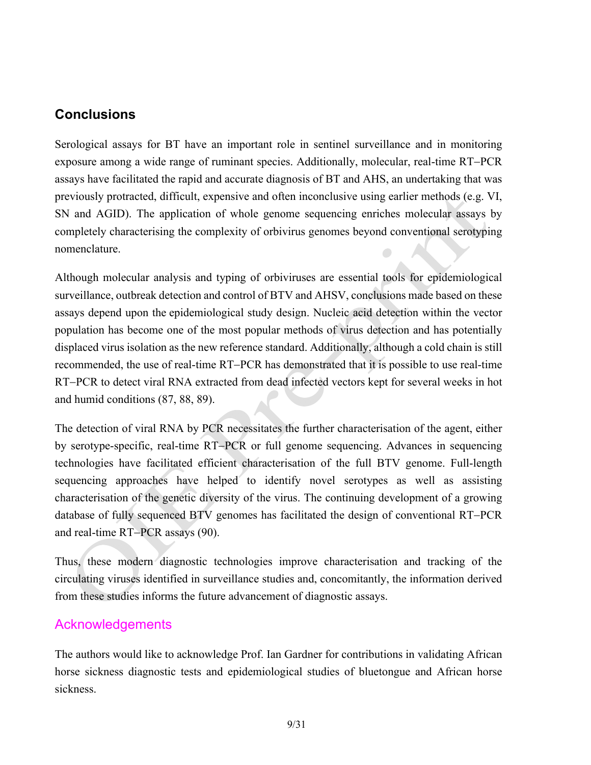## **Conclusions**

Serological assays for BT have an important role in sentinel surveillance and in monitoring exposure among a wide range of ruminant species. Additionally, molecular, real-time RT-PCR assays have facilitated the rapid and accurate diagnosis of BT and AHS, an undertaking that was previously protracted, difficult, expensive and often inconclusive using earlier methods (e.g. VI, SN and AGID). The application of whole genome sequencing enriches molecular assays by completely characterising the complexity of orbivirus genomes beyond conventional serotyping nomenclature.

Although molecular analysis and typing of orbiviruses are essential tools for epidemiological surveillance, outbreak detection and control of BTV and AHSV, conclusions made based on these assays depend upon the epidemiological study design. Nucleic acid detection within the vector population has become one of the most popular methods of virus detection and has potentially displaced virus isolation as the new reference standard. Additionally, although a cold chain is still recommended, the use of real-time RT-PCR has demonstrated that it is possible to use real-time RT-PCR to detect viral RNA extracted from dead infected vectors kept for several weeks in hot and humid conditions (87, 88, 89).

The detection of viral RNA by PCR necessitates the further characterisation of the agent, either by serotype-specific, real-time RT-PCR or full genome sequencing. Advances in sequencing technologies have facilitated efficient characterisation of the full BTV genome. Full-length sequencing approaches have helped to identify novel serotypes as well as assisting characterisation of the genetic diversity of the virus. The continuing development of a growing database of fully sequenced BTV genomes has facilitated the design of conventional RT-PCR and real-time RT-PCR assays (90).

Thus, these modern diagnostic technologies improve characterisation and tracking of the circulating viruses identified in surveillance studies and, concomitantly, the information derived from these studies informs the future advancement of diagnostic assays.

## Acknowledgements

The authors would like to acknowledge Prof. Ian Gardner for contributions in validating African horse sickness diagnostic tests and epidemiological studies of bluetongue and African horse sickness.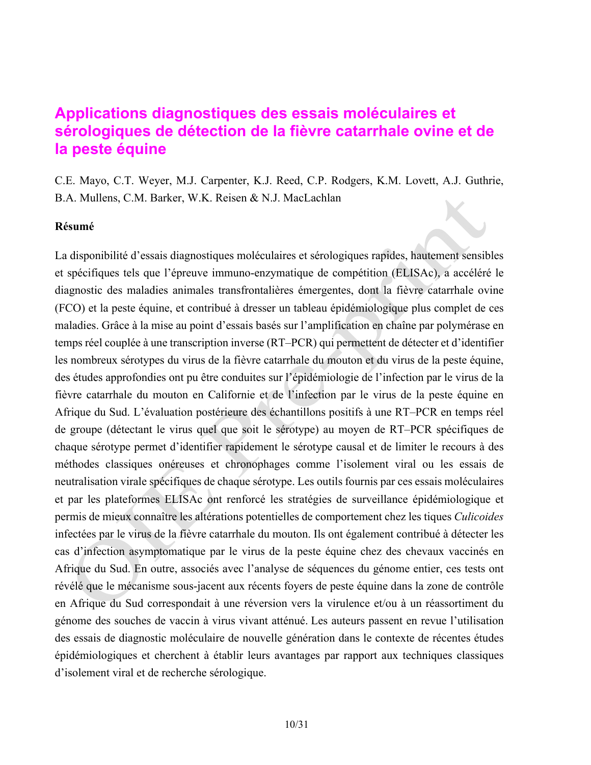# **Applications diagnostiques des essais moléculaires et sérologiques de détection de la fièvre catarrhale ovine et de la peste équine**

C.E. Mayo, C.T. Weyer, M.J. Carpenter, K.J. Reed, C.P. Rodgers, K.M. Lovett, A.J. Guthrie, B.A. Mullens, C.M. Barker, W.K. Reisen & N.J. MacLachlan

#### **Résumé**

La disponibilité d'essais diagnostiques moléculaires et sérologiques rapides, hautement sensibles et spécifiques tels que l'épreuve immuno-enzymatique de compétition (ELISAc), a accéléré le diagnostic des maladies animales transfrontalières émergentes, dont la fièvre catarrhale ovine (FCO) et la peste équine, et contribué à dresser un tableau épidémiologique plus complet de ces maladies. Grâce à la mise au point d'essais basés sur l'amplification en chaîne par polymérase en temps réel couplée à une transcription inverse (RT–PCR) qui permettent de détecter et d'identifier les nombreux sérotypes du virus de la fièvre catarrhale du mouton et du virus de la peste équine, des études approfondies ont pu être conduites sur l'épidémiologie de l'infection par le virus de la fièvre catarrhale du mouton en Californie et de l'infection par le virus de la peste équine en Afrique du Sud. L'évaluation postérieure des échantillons positifs à une RT–PCR en temps réel de groupe (détectant le virus quel que soit le sérotype) au moyen de RT–PCR spécifiques de chaque sérotype permet d'identifier rapidement le sérotype causal et de limiter le recours à des méthodes classiques onéreuses et chronophages comme l'isolement viral ou les essais de neutralisation virale spécifiques de chaque sérotype. Les outils fournis par ces essais moléculaires et par les plateformes ELISAc ont renforcé les stratégies de surveillance épidémiologique et permis de mieux connaître les altérations potentielles de comportement chez les tiques *Culicoides* infectées par le virus de la fièvre catarrhale du mouton. Ils ont également contribué à détecter les cas d'infection asymptomatique par le virus de la peste équine chez des chevaux vaccinés en Afrique du Sud. En outre, associés avec l'analyse de séquences du génome entier, ces tests ont révélé que le mécanisme sous-jacent aux récents foyers de peste équine dans la zone de contrôle en Afrique du Sud correspondait à une réversion vers la virulence et/ou à un réassortiment du génome des souches de vaccin à virus vivant atténué. Les auteurs passent en revue l'utilisation des essais de diagnostic moléculaire de nouvelle génération dans le contexte de récentes études épidémiologiques et cherchent à établir leurs avantages par rapport aux techniques classiques d'isolement viral et de recherche sérologique.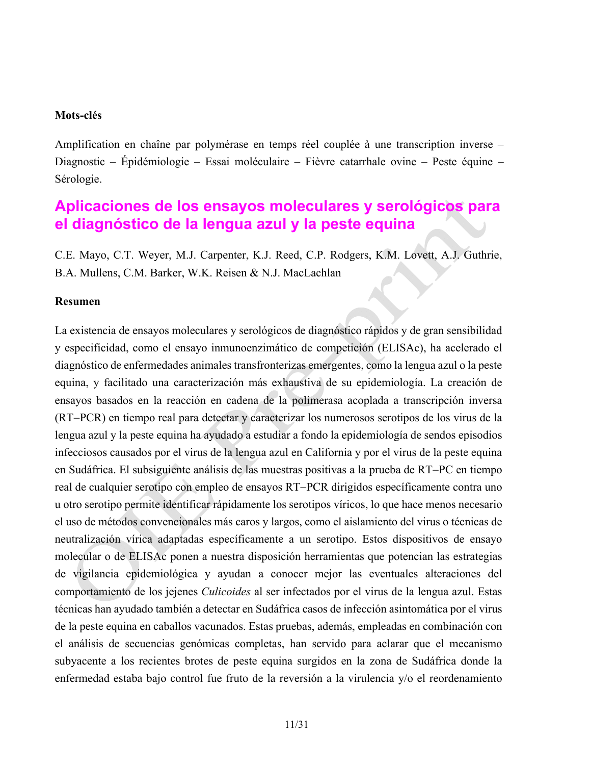### **Mots-clés**

Amplification en chaîne par polymérase en temps réel couplée à une transcription inverse – Diagnostic – Épidémiologie – Essai moléculaire – Fièvre catarrhale ovine – Peste équine – Sérologie.

## **Aplicaciones de los ensayos moleculares y serológicos para el diagnóstico de la lengua azul y la peste equina**

C.E. Mayo, C.T. Weyer, M.J. Carpenter, K.J. Reed, C.P. Rodgers, K.M. Lovett, A.J. Guthrie, B.A. Mullens, C.M. Barker, W.K. Reisen & N.J. MacLachlan

### **Resumen**

La existencia de ensayos moleculares y serológicos de diagnóstico rápidos y de gran sensibilidad y especificidad, como el ensayo inmunoenzimático de competición (ELISAc), ha acelerado el diagnóstico de enfermedades animales transfronterizas emergentes, como la lengua azul o la peste equina, y facilitado una caracterización más exhaustiva de su epidemiología. La creación de ensayos basados en la reacción en cadena de la polimerasa acoplada a transcripción inversa (RTPCR) en tiempo real para detectar y caracterizar los numerosos serotipos de los virus de la lengua azul y la peste equina ha ayudado a estudiar a fondo la epidemiología de sendos episodios infecciosos causados por el virus de la lengua azul en California y por el virus de la peste equina en Sudáfrica. El subsiguiente análisis de las muestras positivas a la prueba de RT-PC en tiempo real de cualquier serotipo con empleo de ensayos RT-PCR dirigidos específicamente contra uno u otro serotipo permite identificar rápidamente los serotipos víricos, lo que hace menos necesario el uso de métodos convencionales más caros y largos, como el aislamiento del virus o técnicas de neutralización vírica adaptadas específicamente a un serotipo. Estos dispositivos de ensayo molecular o de ELISAc ponen a nuestra disposición herramientas que potencian las estrategias de vigilancia epidemiológica y ayudan a conocer mejor las eventuales alteraciones del comportamiento de los jejenes *Culicoides* al ser infectados por el virus de la lengua azul. Estas técnicas han ayudado también a detectar en Sudáfrica casos de infección asintomática por el virus de la peste equina en caballos vacunados. Estas pruebas, además, empleadas en combinación con el análisis de secuencias genómicas completas, han servido para aclarar que el mecanismo subyacente a los recientes brotes de peste equina surgidos en la zona de Sudáfrica donde la enfermedad estaba bajo control fue fruto de la reversión a la virulencia y/o el reordenamiento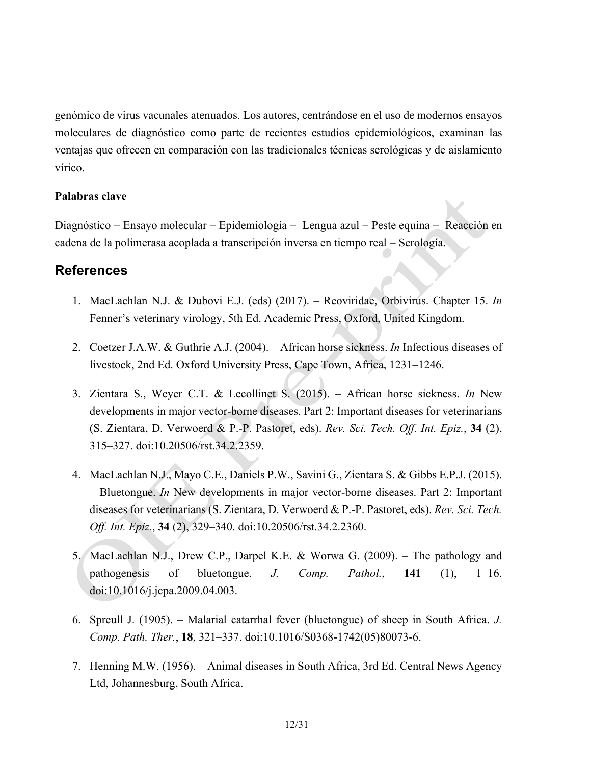genómico de virus vacunales atenuados. Los autores, centrándose en el uso de modernos ensayos moleculares de diagnóstico como parte de recientes estudios epidemiológicos, examinan las ventajas que ofrecen en comparación con las tradicionales técnicas serológicas y de aislamiento vírico.

### **Palabras clave**

Diagnóstico – Ensayo molecular – Epidemiología – Lengua azul – Peste equina – Reacción en cadena de la polimerasa acoplada a transcripción inversa en tiempo real - Serología.

## **References**

- 1. MacLachlan N.J. & Dubovi E.J. (eds) (2017). Reoviridae, Orbivirus. Chapter 15. *In* Fenner's veterinary virology, 5th Ed. Academic Press, Oxford, United Kingdom.
- 2. Coetzer J.A.W. & Guthrie A.J. (2004). African horse sickness. *In* Infectious diseases of livestock, 2nd Ed. Oxford University Press, Cape Town, Africa, 1231–1246.
- 3. Zientara S., Weyer C.T. & Lecollinet S. (2015). African horse sickness. *In* New developments in major vector-borne diseases. Part 2: Important diseases for veterinarians (S. Zientara, D. Verwoerd & P.-P. Pastoret, eds). *Rev. Sci. Tech. Off. Int. Epiz.*, **34** (2), 315–327. doi:10.20506/rst.34.2.2359.
- 4. MacLachlan N.J., Mayo C.E., Daniels P.W., Savini G., Zientara S. & Gibbs E.P.J. (2015). – Bluetongue. *In* New developments in major vector-borne diseases. Part 2: Important diseases for veterinarians (S. Zientara, D. Verwoerd & P.-P. Pastoret, eds). *Rev. Sci. Tech. Off. Int. Epiz.*, **34** (2), 329–340. doi:10.20506/rst.34.2.2360.
- 5. MacLachlan N.J., Drew C.P., Darpel K.E. & Worwa G. (2009). The pathology and pathogenesis of bluetongue. *J. Comp. Pathol.*, **141** (1), 1–16. doi:10.1016/j.jcpa.2009.04.003.
- 6. Spreull J. (1905). Malarial catarrhal fever (bluetongue) of sheep in South Africa. *J. Comp. Path. Ther.*, **18**, 321–337. doi:10.1016/S0368-1742(05)80073-6.
- 7. Henning M.W. (1956). Animal diseases in South Africa, 3rd Ed. Central News Agency Ltd, Johannesburg, South Africa.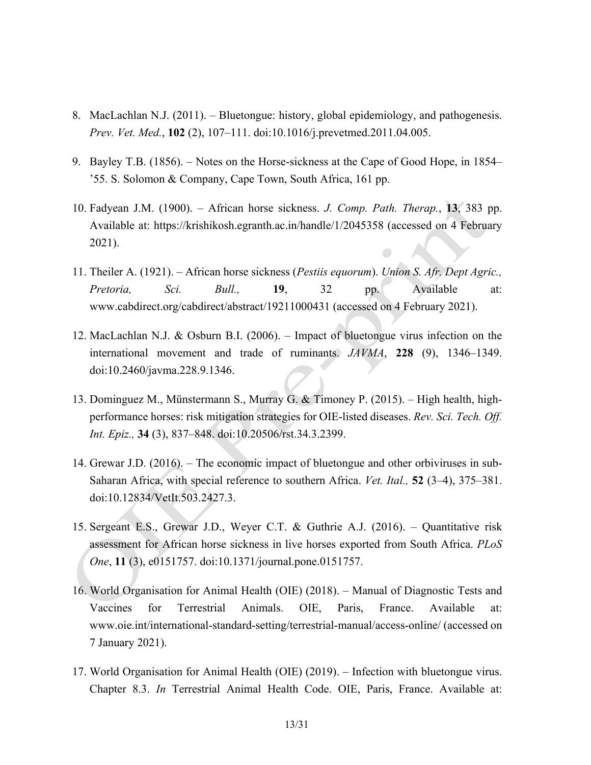- 8. MacLachlan N.J. (2011). Bluetongue: history, global epidemiology, and pathogenesis. *Prev. Vet. Med.*, **102** (2), 107–111. doi:10.1016/j.prevetmed.2011.04.005.
- 9. Bayley T.B. (1856). Notes on the Horse-sickness at the Cape of Good Hope, in 1854– '55. S. Solomon & Company, Cape Town, South Africa, 161 pp.
- 10. Fadyean J.M. (1900). African horse sickness. *J. Comp. Path. Therap.*, **13**, 383 pp. Available at: https://krishikosh.egranth.ac.in/handle/1/2045358 (accessed on 4 February 2021).
- 11. Theiler A. (1921). African horse sickness (*Pestiis equorum*). *Union S. Afr. Dept Agric., Pretoria, Sci. Bull.,* **19**, 32 pp. Available at: www.cabdirect.org/cabdirect/abstract/19211000431 (accessed on 4 February 2021).
- 12. MacLachlan N.J. & Osburn B.I. (2006). Impact of bluetongue virus infection on the international movement and trade of ruminants. *JAVMA*, **228** (9), 1346–1349. doi:10.2460/javma.228.9.1346.
- 13. Dominguez M., Münstermann S., Murray G. & Timoney P. (2015). High health, highperformance horses: risk mitigation strategies for OIE-listed diseases. *Rev. Sci. Tech. Off. Int. Epiz.,* **34** (3), 837–848. doi:10.20506/rst.34.3.2399.
- 14. Grewar J.D. (2016). The economic impact of bluetongue and other orbiviruses in sub-Saharan Africa, with special reference to southern Africa. *Vet. Ital.,* **52** (3–4), 375–381. doi:10.12834/VetIt.503.2427.3.
- 15. Sergeant E.S., Grewar J.D., Weyer C.T. & Guthrie A.J. (2016). Quantitative risk assessment for African horse sickness in live horses exported from South Africa. *PLoS One*, **11** (3), e0151757. doi:10.1371/journal.pone.0151757.
- 16. World Organisation for Animal Health (OIE) (2018). Manual of Diagnostic Tests and Vaccines for Terrestrial Animals. OIE, Paris, France. Available at: www.oie.int/international-standard-setting/terrestrial-manual/access-online/ (accessed on 7 January 2021).
- 17. World Organisation for Animal Health (OIE) (2019). Infection with bluetongue virus. Chapter 8.3. *In* Terrestrial Animal Health Code. OIE, Paris, France. Available at: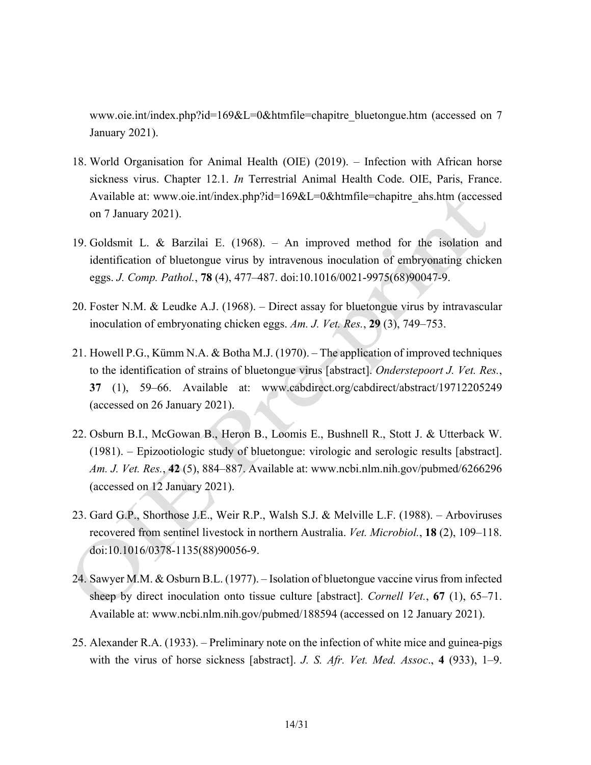www.oie.int/index.php?id=169&L=0&htmfile=chapitre\_bluetongue.htm (accessed on 7 January 2021).

- 18. World Organisation for Animal Health (OIE) (2019). Infection with African horse sickness virus. Chapter 12.1. *In* Terrestrial Animal Health Code. OIE, Paris, France. Available at: www.oie.int/index.php?id=169&L=0&htmfile=chapitre ahs.htm (accessed on 7 January 2021).
- 19. Goldsmit L. & Barzilai E. (1968). An improved method for the isolation and identification of bluetongue virus by intravenous inoculation of embryonating chicken eggs. *J. Comp. Pathol.*, **78** (4), 477–487. doi:10.1016/0021-9975(68)90047-9.
- 20. Foster N.M. & Leudke A.J. (1968). Direct assay for bluetongue virus by intravascular inoculation of embryonating chicken eggs. *Am. J. Vet. Res.*, **29** (3), 749–753.
- 21. Howell P.G., Kümm N.A. & Botha M.J. (1970). The application of improved techniques to the identification of strains of bluetongue virus [abstract]. *Onderstepoort J. Vet. Res.*, **37** (1), 59–66. Available at: www.cabdirect.org/cabdirect/abstract/19712205249 (accessed on 26 January 2021).
- 22. Osburn B.I., McGowan B., Heron B., Loomis E., Bushnell R., Stott J. & Utterback W. (1981). – Epizootiologic study of bluetongue: virologic and serologic results [abstract]. *Am. J. Vet. Res.*, **42** (5), 884–887. Available at: www.ncbi.nlm.nih.gov/pubmed/6266296 (accessed on 12 January 2021).
- 23. Gard G.P., Shorthose J.E., Weir R.P., Walsh S.J. & Melville L.F. (1988). Arboviruses recovered from sentinel livestock in northern Australia. *Vet. Microbiol.*, **18** (2), 109–118. doi:10.1016/0378-1135(88)90056-9.
- 24. Sawyer M.M. & Osburn B.L. (1977). Isolation of bluetongue vaccine virus from infected sheep by direct inoculation onto tissue culture [abstract]. *Cornell Vet.*, **67** (1), 65–71. Available at: www.ncbi.nlm.nih.gov/pubmed/188594 (accessed on 12 January 2021).
- 25. Alexander R.A. (1933). Preliminary note on the infection of white mice and guinea-pigs with the virus of horse sickness [abstract]. *J. S. Afr. Vet. Med. Assoc*., **4** (933), 1–9.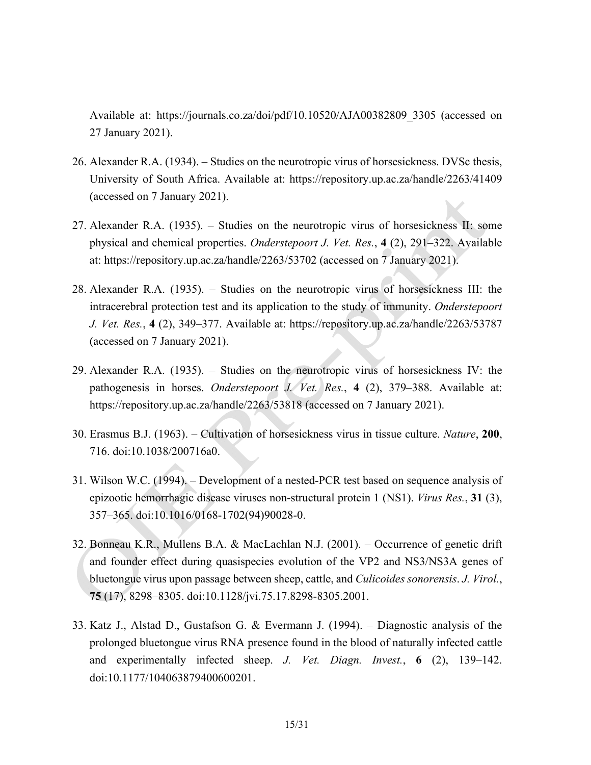Available at: https://journals.co.za/doi/pdf/10.10520/AJA00382809\_3305 (accessed on 27 January 2021).

- 26. Alexander R.A. (1934). Studies on the neurotropic virus of horsesickness. DVSc thesis, University of South Africa. Available at: https://repository.up.ac.za/handle/2263/41409 (accessed on 7 January 2021).
- 27. Alexander R.A. (1935). Studies on the neurotropic virus of horsesickness II: some physical and chemical properties. *Onderstepoort J. Vet. Res.*, **4** (2), 291–322. Available at: https://repository.up.ac.za/handle/2263/53702 (accessed on 7 January 2021).
- 28. Alexander R.A. (1935). Studies on the neurotropic virus of horsesickness III: the intracerebral protection test and its application to the study of immunity. *Onderstepoort J. Vet. Res.*, **4** (2), 349–377. Available at: https://repository.up.ac.za/handle/2263/53787 (accessed on 7 January 2021).
- 29. Alexander R.A. (1935). Studies on the neurotropic virus of horsesickness IV: the pathogenesis in horses. *Onderstepoort J. Vet. Res.*, **4** (2), 379–388. Available at: https://repository.up.ac.za/handle/2263/53818 (accessed on 7 January 2021).
- 30. Erasmus B.J. (1963). Cultivation of horsesickness virus in tissue culture. *Nature*, **200**, 716. doi:10.1038/200716a0.
- 31. Wilson W.C. (1994). Development of a nested-PCR test based on sequence analysis of epizootic hemorrhagic disease viruses non-structural protein 1 (NS1). *Virus Res.*, **31** (3), 357–365. doi:10.1016/0168-1702(94)90028-0.
- 32. Bonneau K.R., Mullens B.A. & MacLachlan N.J. (2001). Occurrence of genetic drift and founder effect during quasispecies evolution of the VP2 and NS3/NS3A genes of bluetongue virus upon passage between sheep, cattle, and *Culicoides sonorensis*. *J. Virol.*, **75** (17), 8298–8305. doi:10.1128/jvi.75.17.8298-8305.2001.
- 33. Katz J., Alstad D., Gustafson G. & Evermann J. (1994). Diagnostic analysis of the prolonged bluetongue virus RNA presence found in the blood of naturally infected cattle and experimentally infected sheep. *J. Vet. Diagn. Invest.*, **6** (2), 139–142. doi:10.1177/104063879400600201.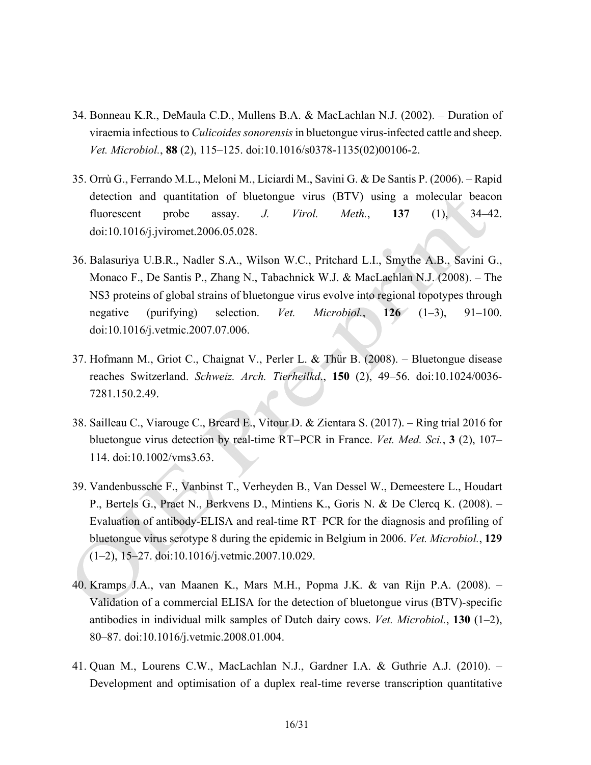- 34. Bonneau K.R., DeMaula C.D., Mullens B.A. & MacLachlan N.J. (2002). Duration of viraemia infectious to *Culicoides sonorensis* in bluetongue virus-infected cattle and sheep. *Vet. Microbiol.*, **88** (2), 115–125. doi:10.1016/s0378-1135(02)00106-2.
- 35. Orrù G., Ferrando M.L., Meloni M., Liciardi M., Savini G. & De Santis P. (2006). Rapid detection and quantitation of bluetongue virus (BTV) using a molecular beacon fluorescent probe assay. *J. Virol. Meth.*, **137** (1), 34–42. doi:10.1016/j.jviromet.2006.05.028.
- 36. Balasuriya U.B.R., Nadler S.A., Wilson W.C., Pritchard L.I., Smythe A.B., Savini G., Monaco F., De Santis P., Zhang N., Tabachnick W.J. & MacLachlan N.J. (2008). – The NS3 proteins of global strains of bluetongue virus evolve into regional topotypes through negative (purifying) selection. *Vet. Microbiol.*, **126** (1–3), 91–100. doi:10.1016/j.vetmic.2007.07.006.
- 37. Hofmann M., Griot C., Chaignat V., Perler L. & Thür B. (2008). Bluetongue disease reaches Switzerland. *Schweiz. Arch. Tierheilkd*., **150** (2), 49–56. doi:10.1024/0036- 7281.150.2.49.
- 38. Sailleau C., Viarouge C., Breard E., Vitour D. & Zientara S. (2017). Ring trial 2016 for bluetongue virus detection by real-time RT-PCR in France. *Vet. Med. Sci.*, **3** (2), 107– 114. doi:10.1002/vms3.63.
- 39. Vandenbussche F., Vanbinst T., Verheyden B., Van Dessel W., Demeestere L., Houdart P., Bertels G., Praet N., Berkvens D., Mintiens K., Goris N. & De Clercq K. (2008). – Evaluation of antibody-ELISA and real-time RT–PCR for the diagnosis and profiling of bluetongue virus serotype 8 during the epidemic in Belgium in 2006. *Vet. Microbiol.*, **129** (1–2), 15–27. doi:10.1016/j.vetmic.2007.10.029.
- 40. Kramps J.A., van Maanen K., Mars M.H., Popma J.K. & van Rijn P.A. (2008). Validation of a commercial ELISA for the detection of bluetongue virus (BTV)-specific antibodies in individual milk samples of Dutch dairy cows. *Vet. Microbiol.*, **130** (1–2), 80–87. doi:10.1016/j.vetmic.2008.01.004.
- 41. Quan M., Lourens C.W., MacLachlan N.J., Gardner I.A. & Guthrie A.J. (2010). Development and optimisation of a duplex real-time reverse transcription quantitative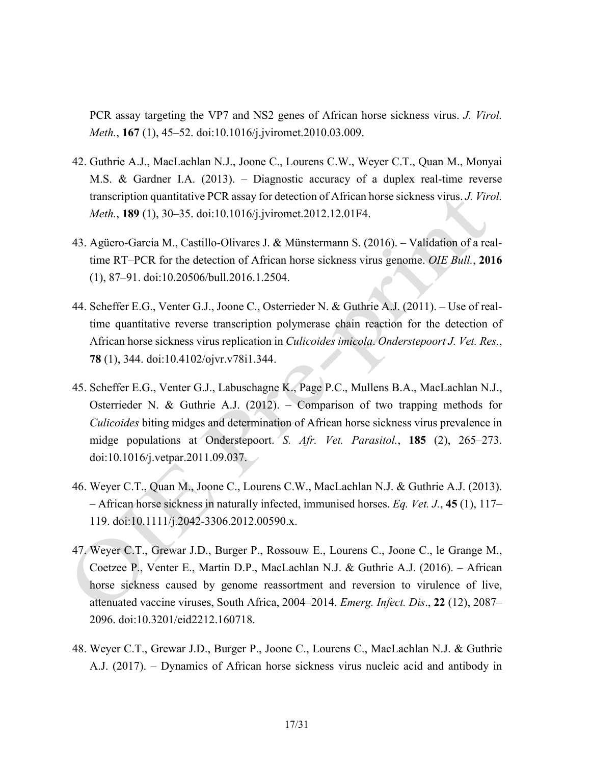PCR assay targeting the VP7 and NS2 genes of African horse sickness virus. *J. Virol. Meth.*, **167** (1), 45–52. doi:10.1016/j.jviromet.2010.03.009.

- 42. Guthrie A.J., MacLachlan N.J., Joone C., Lourens C.W., Weyer C.T., Quan M., Monyai M.S. & Gardner I.A. (2013). – Diagnostic accuracy of a duplex real-time reverse transcription quantitative PCR assay for detection of African horse sickness virus. *J. Virol. Meth.*, **189** (1), 30–35. doi:10.1016/j.jviromet.2012.12.01F4.
- 43. Agüero-Garcia M., Castillo-Olivares J. & Münstermann S. (2016). Validation of a realtime RT–PCR for the detection of African horse sickness virus genome. *OIE Bull.*, **2016**  (1), 87–91. doi:10.20506/bull.2016.1.2504.
- 44. Scheffer E.G., Venter G.J., Joone C., Osterrieder N. & Guthrie A.J. (2011). Use of realtime quantitative reverse transcription polymerase chain reaction for the detection of African horse sickness virus replication in *Culicoides imicola*. *Onderstepoort J. Vet. Res.*, **78** (1), 344. doi:10.4102/ojvr.v78i1.344.
- 45. Scheffer E.G., Venter G.J., Labuschagne K., Page P.C., Mullens B.A., MacLachlan N.J., Osterrieder N. & Guthrie A.J. (2012). – Comparison of two trapping methods for *Culicoides* biting midges and determination of African horse sickness virus prevalence in midge populations at Onderstepoort. *S. Afr. Vet. Parasitol.*, **185** (2), 265–273. doi:10.1016/j.vetpar.2011.09.037.
- 46. Weyer C.T., Quan M., Joone C., Lourens C.W., MacLachlan N.J. & Guthrie A.J. (2013). – African horse sickness in naturally infected, immunised horses. *Eq. Vet. J.*, **45** (1), 117– 119. doi:10.1111/j.2042-3306.2012.00590.x.
- 47. Weyer C.T., Grewar J.D., Burger P., Rossouw E., Lourens C., Joone C., le Grange M., Coetzee P., Venter E., Martin D.P., MacLachlan N.J. & Guthrie A.J. (2016). – African horse sickness caused by genome reassortment and reversion to virulence of live, attenuated vaccine viruses, South Africa, 2004–2014. *Emerg. Infect. Dis*., **22** (12), 2087– 2096. doi:10.3201/eid2212.160718.
- 48. Weyer C.T., Grewar J.D., Burger P., Joone C., Lourens C., MacLachlan N.J. & Guthrie A.J. (2017). – Dynamics of African horse sickness virus nucleic acid and antibody in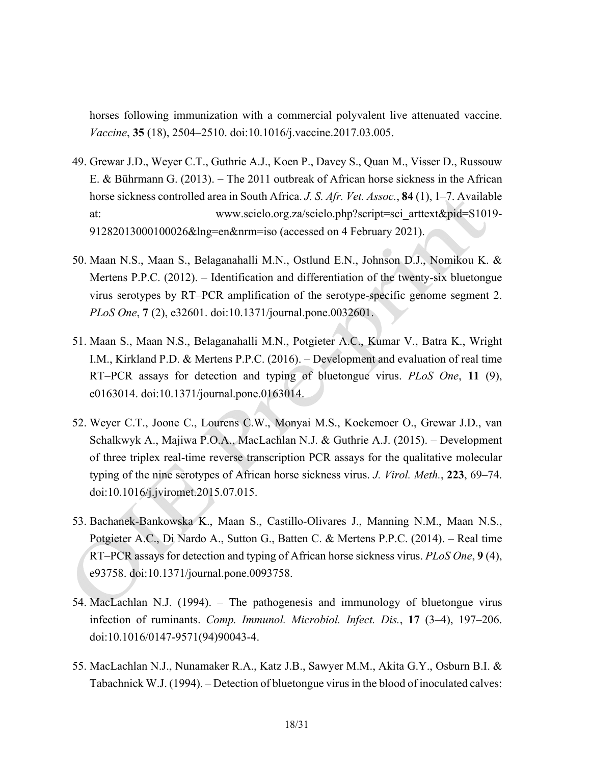horses following immunization with a commercial polyvalent live attenuated vaccine. *Vaccine*, **35** (18), 2504–2510. doi:10.1016/j.vaccine.2017.03.005.

- 49. Grewar J.D., Weyer C.T., Guthrie A.J., Koen P., Davey S., Quan M., Visser D., Russouw E. & Bührmann G. (2013). The 2011 outbreak of African horse sickness in the African horse sickness controlled area in South Africa. *J. S. Afr. Vet. Assoc.*, **84** (1), 1–7. Available at: www.scielo.org.za/scielo.php?script=sci\_arttext&pid=S1019- 91282013000100026&lng=en&nrm=iso (accessed on 4 February 2021).
- 50. Maan N.S., Maan S., Belaganahalli M.N., Ostlund E.N., Johnson D.J., Nomikou K. & Mertens P.P.C. (2012). – Identification and differentiation of the twenty-six bluetongue virus serotypes by RT–PCR amplification of the serotype-specific genome segment 2. *PLoS One*, **7** (2), e32601. doi:10.1371/journal.pone.0032601.
- 51. Maan S., Maan N.S., Belaganahalli M.N., Potgieter A.C., Kumar V., Batra K., Wright I.M., Kirkland P.D. & Mertens P.P.C. (2016). – Development and evaluation of real time RT-PCR assays for detection and typing of bluetongue virus. *PLoS One*, 11 (9), e0163014. doi:10.1371/journal.pone.0163014.
- 52. Weyer C.T., Joone C., Lourens C.W., Monyai M.S., Koekemoer O., Grewar J.D., van Schalkwyk A., Majiwa P.O.A., MacLachlan N.J. & Guthrie A.J. (2015). – Development of three triplex real-time reverse transcription PCR assays for the qualitative molecular typing of the nine serotypes of African horse sickness virus. *J. Virol. Meth.*, **223**, 69–74. doi:10.1016/j.jviromet.2015.07.015.
- 53. Bachanek-Bankowska K., Maan S., Castillo-Olivares J., Manning N.M., Maan N.S., Potgieter A.C., Di Nardo A., Sutton G., Batten C. & Mertens P.P.C. (2014). – Real time RT–PCR assays for detection and typing of African horse sickness virus. *PLoS One*, **9** (4), e93758. doi:10.1371/journal.pone.0093758.
- 54. MacLachlan N.J. (1994). The pathogenesis and immunology of bluetongue virus infection of ruminants. *Comp. Immunol. Microbiol. Infect. Dis.*, **17** (3–4), 197–206. doi:10.1016/0147-9571(94)90043-4.
- 55. MacLachlan N.J., Nunamaker R.A., Katz J.B., Sawyer M.M., Akita G.Y., Osburn B.I. & Tabachnick W.J. (1994). – Detection of bluetongue virus in the blood of inoculated calves: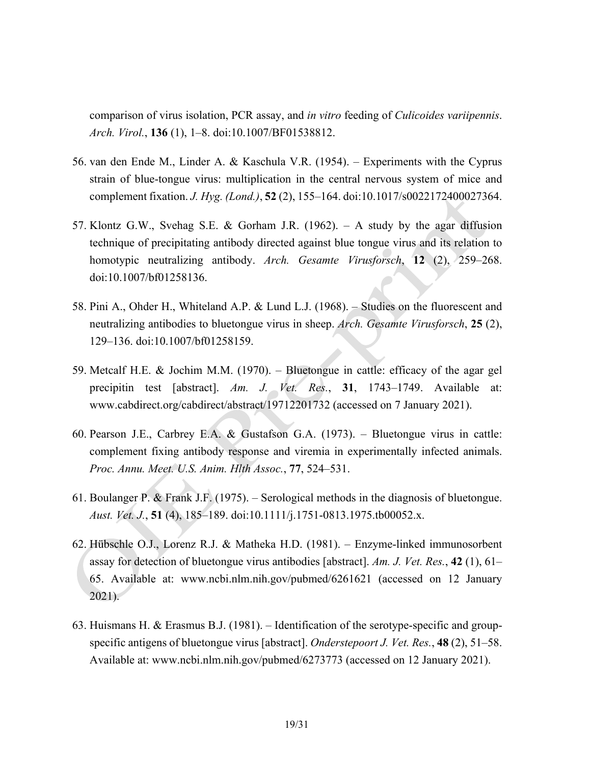comparison of virus isolation, PCR assay, and *in vitro* feeding of *Culicoides variipennis*. *Arch. Virol.*, **136** (1), 1–8. doi:10.1007/BF01538812.

- 56. van den Ende M., Linder A. & Kaschula V.R. (1954). Experiments with the Cyprus strain of blue-tongue virus: multiplication in the central nervous system of mice and complement fixation. *J. Hyg. (Lond.)*, **52** (2), 155–164. doi:10.1017/s0022172400027364.
- 57. Klontz G.W., Svehag S.E. & Gorham J.R. (1962). A study by the agar diffusion technique of precipitating antibody directed against blue tongue virus and its relation to homotypic neutralizing antibody. *Arch. Gesamte Virusforsch*, **12** (2), 259–268. doi:10.1007/bf01258136.
- 58. Pini A., Ohder H., Whiteland A.P. & Lund L.J. (1968). Studies on the fluorescent and neutralizing antibodies to bluetongue virus in sheep. *Arch. Gesamte Virusforsch*, **25** (2), 129–136. doi:10.1007/bf01258159.
- 59. Metcalf H.E. & Jochim M.M. (1970). Bluetongue in cattle: efficacy of the agar gel precipitin test [abstract]. *Am. J. Vet. Res.*, **31**, 1743–1749. Available at: www.cabdirect.org/cabdirect/abstract/19712201732 (accessed on 7 January 2021).
- 60. Pearson J.E., Carbrey E.A. & Gustafson G.A. (1973). Bluetongue virus in cattle: complement fixing antibody response and viremia in experimentally infected animals. *Proc. Annu. Meet. U.S. Anim. Hlth Assoc.*, **77**, 524–531.
- 61. Boulanger P. & Frank J.F. (1975). Serological methods in the diagnosis of bluetongue. *Aust. Vet. J.*, **51** (4), 185–189. doi:10.1111/j.1751-0813.1975.tb00052.x.
- 62. Hübschle O.J., Lorenz R.J. & Matheka H.D. (1981). Enzyme-linked immunosorbent assay for detection of bluetongue virus antibodies [abstract]. *Am. J. Vet. Res.*, **42** (1), 61– 65. Available at: www.ncbi.nlm.nih.gov/pubmed/6261621 (accessed on 12 January 2021).
- 63. Huismans H. & Erasmus B.J. (1981). Identification of the serotype-specific and groupspecific antigens of bluetongue virus [abstract]. *Onderstepoort J. Vet. Res.*, **48** (2), 51–58. Available at: www.ncbi.nlm.nih.gov/pubmed/6273773 (accessed on 12 January 2021).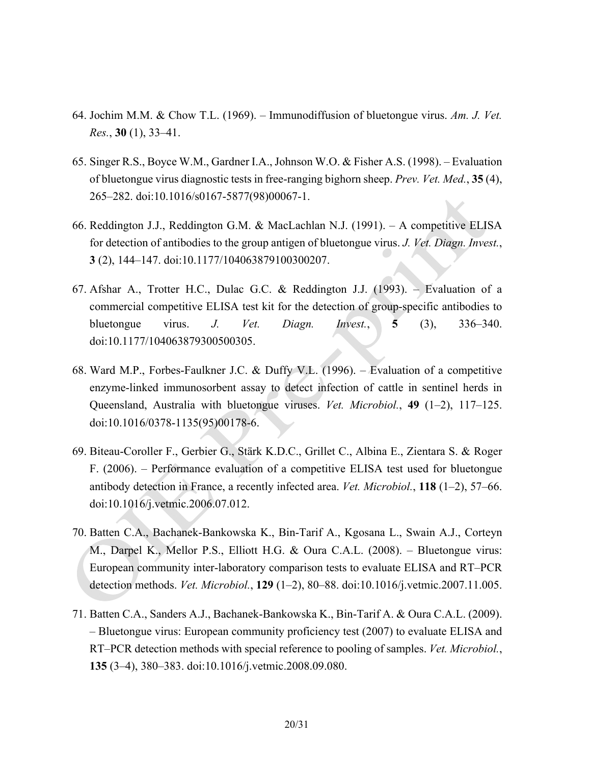- 64. Jochim M.M. & Chow T.L. (1969). Immunodiffusion of bluetongue virus. *Am. J. Vet. Res.*, **30** (1), 33–41.
- 65. Singer R.S., Boyce W.M., Gardner I.A., Johnson W.O. & Fisher A.S. (1998). Evaluation of bluetongue virus diagnostic tests in free-ranging bighorn sheep. *Prev. Vet. Med.*, **35** (4), 265–282. doi:10.1016/s0167-5877(98)00067-1.
- 66. Reddington J.J., Reddington G.M. & MacLachlan N.J. (1991). A competitive ELISA for detection of antibodies to the group antigen of bluetongue virus. *J. Vet. Diagn. Invest.*, **3** (2), 144–147. doi:10.1177/104063879100300207.
- 67. Afshar A., Trotter H.C., Dulac G.C. & Reddington J.J. (1993). Evaluation of a commercial competitive ELISA test kit for the detection of group-specific antibodies to bluetongue virus. *J. Vet. Diagn. Invest.*, **5** (3), 336–340. doi:10.1177/104063879300500305.
- 68. Ward M.P., Forbes-Faulkner J.C. & Duffy V.L. (1996). Evaluation of a competitive enzyme-linked immunosorbent assay to detect infection of cattle in sentinel herds in Queensland, Australia with bluetongue viruses. *Vet. Microbiol.*, **49** (1–2), 117–125. doi:10.1016/0378-1135(95)00178-6.
- 69. Biteau-Coroller F., Gerbier G., Stärk K.D.C., Grillet C., Albina E., Zientara S. & Roger F. (2006). – Performance evaluation of a competitive ELISA test used for bluetongue antibody detection in France, a recently infected area. *Vet. Microbiol.*, **118** (1–2), 57–66. doi:10.1016/j.vetmic.2006.07.012.
- 70. Batten C.A., Bachanek-Bankowska K., Bin-Tarif A., Kgosana L., Swain A.J., Corteyn M., Darpel K., Mellor P.S., Elliott H.G. & Oura C.A.L. (2008). – Bluetongue virus: European community inter-laboratory comparison tests to evaluate ELISA and RT–PCR detection methods. *Vet. Microbiol.*, **129** (1–2), 80–88. doi:10.1016/j.vetmic.2007.11.005.
- 71. Batten C.A., Sanders A.J., Bachanek-Bankowska K., Bin-Tarif A. & Oura C.A.L. (2009). – Bluetongue virus: European community proficiency test (2007) to evaluate ELISA and RT–PCR detection methods with special reference to pooling of samples. *Vet. Microbiol.*, **135** (3–4), 380–383. doi:10.1016/j.vetmic.2008.09.080.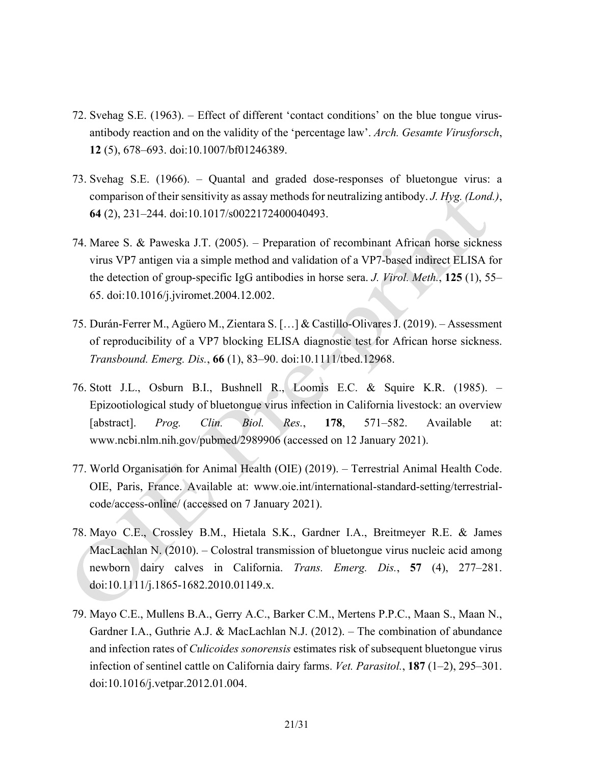- 72. Svehag S.E. (1963). Effect of different 'contact conditions' on the blue tongue virusantibody reaction and on the validity of the 'percentage law'. *Arch. Gesamte Virusforsch*, **12** (5), 678–693. doi:10.1007/bf01246389.
- 73. Svehag S.E. (1966). Quantal and graded dose-responses of bluetongue virus: a comparison of their sensitivity as assay methods for neutralizing antibody. *J. Hyg. (Lond.)*, **64** (2), 231–244. doi:10.1017/s0022172400040493.
- 74. Maree S. & Paweska J.T. (2005). Preparation of recombinant African horse sickness virus VP7 antigen via a simple method and validation of a VP7-based indirect ELISA for the detection of group-specific IgG antibodies in horse sera. *J. Virol. Meth.*, **125** (1), 55– 65. doi:10.1016/j.jviromet.2004.12.002.
- 75. Durán-Ferrer M., Agüero M., Zientara S. […] & Castillo-Olivares J. (2019). Assessment of reproducibility of a VP7 blocking ELISA diagnostic test for African horse sickness. *Transbound. Emerg. Dis.*, **66** (1), 83–90. doi:10.1111/tbed.12968.
- 76. Stott J.L., Osburn B.I., Bushnell R., Loomis E.C. & Squire K.R. (1985). Epizootiological study of bluetongue virus infection in California livestock: an overview [abstract]. *Prog. Clin. Biol. Res.*, **178**, 571–582. Available at: www.ncbi.nlm.nih.gov/pubmed/2989906 (accessed on 12 January 2021).
- 77. World Organisation for Animal Health (OIE) (2019). Terrestrial Animal Health Code. OIE, Paris, France. Available at: www.oie.int/international-standard-setting/terrestrialcode/access-online/ (accessed on 7 January 2021).
- 78. Mayo C.E., Crossley B.M., Hietala S.K., Gardner I.A., Breitmeyer R.E. & James MacLachlan N. (2010). – Colostral transmission of bluetongue virus nucleic acid among newborn dairy calves in California. *Trans. Emerg. Dis.*, **57** (4), 277–281. doi:10.1111/j.1865-1682.2010.01149.x.
- 79. Mayo C.E., Mullens B.A., Gerry A.C., Barker C.M., Mertens P.P.C., Maan S., Maan N., Gardner I.A., Guthrie A.J. & MacLachlan N.J. (2012). – The combination of abundance and infection rates of *Culicoides sonorensis* estimates risk of subsequent bluetongue virus infection of sentinel cattle on California dairy farms. *Vet. Parasitol.*, **187** (1–2), 295–301. doi:10.1016/j.vetpar.2012.01.004.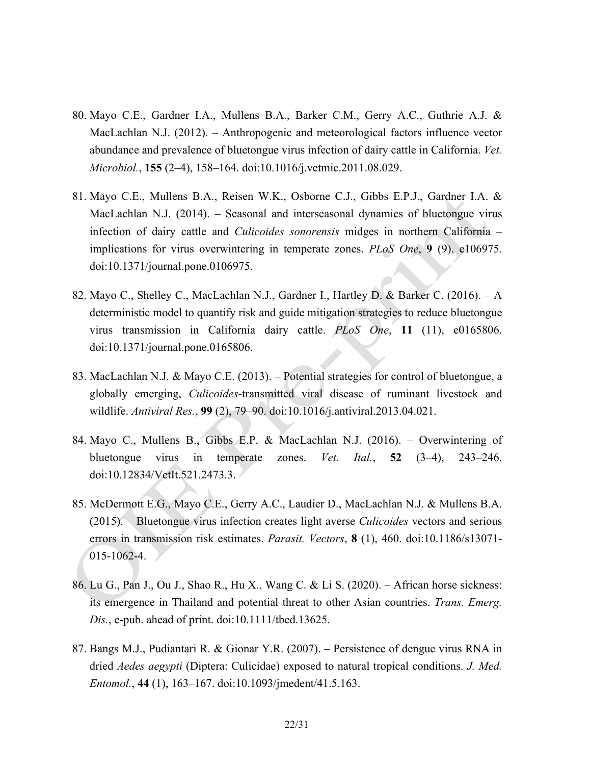- 80. Mayo C.E., Gardner I.A., Mullens B.A., Barker C.M., Gerry A.C., Guthrie A.J. & MacLachlan N.J. (2012). – Anthropogenic and meteorological factors influence vector abundance and prevalence of bluetongue virus infection of dairy cattle in California. *Vet. Microbiol.*, **155** (2–4), 158–164. doi:10.1016/j.vetmic.2011.08.029.
- 81. Mayo C.E., Mullens B.A., Reisen W.K., Osborne C.J., Gibbs E.P.J., Gardner I.A. & MacLachlan N.J. (2014). – Seasonal and interseasonal dynamics of bluetongue virus infection of dairy cattle and *Culicoides sonorensis* midges in northern California – implications for virus overwintering in temperate zones. *PLoS One*, **9** (9), e106975. doi:10.1371/journal.pone.0106975.
- 82. Mayo C., Shelley C., MacLachlan N.J., Gardner I., Hartley D. & Barker C. (2016). A deterministic model to quantify risk and guide mitigation strategies to reduce bluetongue virus transmission in California dairy cattle. *PLoS One*, **11** (11), e0165806. doi:10.1371/journal.pone.0165806.
- 83. MacLachlan N.J. & Mayo C.E. (2013). Potential strategies for control of bluetongue, a globally emerging, *Culicoides*-transmitted viral disease of ruminant livestock and wildlife. *Antiviral Res.*, **99** (2), 79–90. doi:10.1016/j.antiviral.2013.04.021.
- 84. Mayo C., Mullens B., Gibbs E.P. & MacLachlan N.J. (2016). Overwintering of bluetongue virus in temperate zones. *Vet. Ital.*, **52** (3–4), 243–246. doi:10.12834/VetIt.521.2473.3.
- 85. McDermott E.G., Mayo C.E., Gerry A.C., Laudier D., MacLachlan N.J. & Mullens B.A. (2015). – Bluetongue virus infection creates light averse *Culicoides* vectors and serious errors in transmission risk estimates. *Parasit. Vectors*, **8** (1), 460. doi:10.1186/s13071- 015-1062-4.
- 86. Lu G., Pan J., Ou J., Shao R., Hu X., Wang C. & Li S. (2020). African horse sickness: its emergence in Thailand and potential threat to other Asian countries. *Trans. Emerg. Dis.*, e-pub. ahead of print. doi:10.1111/tbed.13625.
- 87. Bangs M.J., Pudiantari R. & Gionar Y.R. (2007). Persistence of dengue virus RNA in dried *Aedes aegypti* (Diptera: Culicidae) exposed to natural tropical conditions. *J. Med. Entomol.*, **44** (1), 163–167. doi:10.1093/jmedent/41.5.163.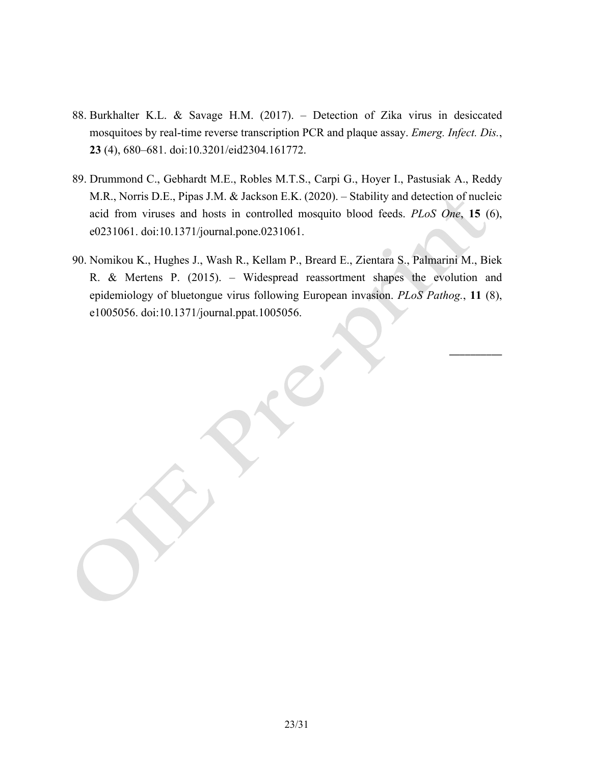- 88. Burkhalter K.L. & Savage H.M. (2017). Detection of Zika virus in desiccated mosquitoes by real-time reverse transcription PCR and plaque assay. *Emerg. Infect. Dis.*, **23** (4), 680–681. doi:10.3201/eid2304.161772.
- 89. Drummond C., Gebhardt M.E., Robles M.T.S., Carpi G., Hoyer I., Pastusiak A., Reddy M.R., Norris D.E., Pipas J.M. & Jackson E.K. (2020). – Stability and detection of nucleic acid from viruses and hosts in controlled mosquito blood feeds. *PLoS One*, **15** (6), e0231061. doi:10.1371/journal.pone.0231061.
- 90. Nomikou K., Hughes J., Wash R., Kellam P., Breard E., Zientara S., Palmarini M., Biek R. & Mertens P. (2015). – Widespread reassortment shapes the evolution and epidemiology of bluetongue virus following European invasion. *PLoS Pathog.*, **11** (8), e1005056. doi:10.1371/journal.ppat.1005056.

\_\_\_\_\_\_\_\_\_\_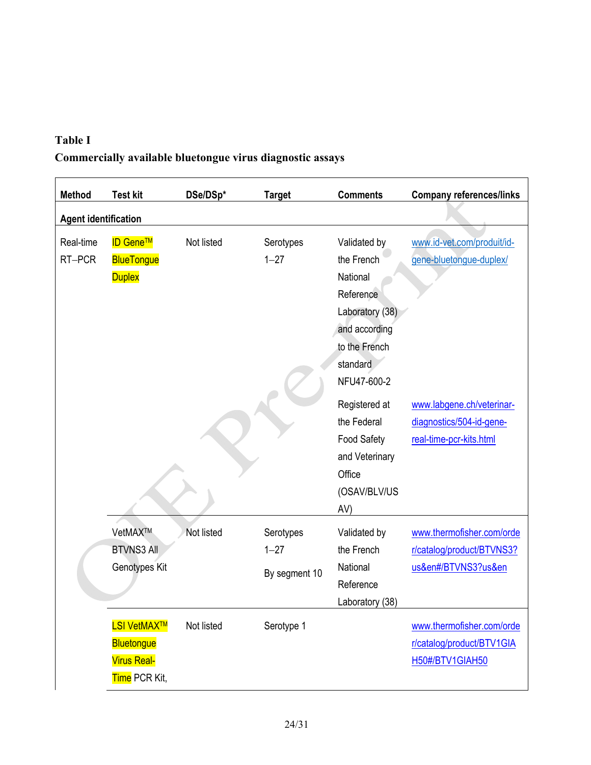# **Table I Commercially available bluetongue virus diagnostic assays**

| <b>Method</b>               | <b>Test kit</b>                                                                | DSe/DSp*   | <b>Target</b>                          | <b>Comments</b>                                                                                                                     | <b>Company references/links</b>                                                  |  |  |
|-----------------------------|--------------------------------------------------------------------------------|------------|----------------------------------------|-------------------------------------------------------------------------------------------------------------------------------------|----------------------------------------------------------------------------------|--|--|
| <b>Agent identification</b> |                                                                                |            |                                        |                                                                                                                                     |                                                                                  |  |  |
| Real-time<br>RT-PCR         | <b>ID Gene™</b><br><b>BlueTongue</b><br><b>Duplex</b>                          | Not listed | Serotypes<br>$1 - 27$                  | Validated by<br>the French<br>National<br>Reference<br>Laboratory (38)<br>and according<br>to the French<br>standard<br>NFU47-600-2 | www.id-vet.com/produit/id-<br>gene-bluetongue-duplex/                            |  |  |
|                             |                                                                                |            |                                        | Registered at<br>the Federal<br><b>Food Safety</b><br>and Veterinary<br>Office<br>(OSAV/BLV/US<br>AV)                               | www.labgene.ch/veterinar-<br>diagnostics/504-id-gene-<br>real-time-pcr-kits.html |  |  |
|                             | VetMAX™<br><b>BTVNS3 All</b><br>Genotypes Kit                                  | Not listed | Serotypes<br>$1 - 27$<br>By segment 10 | Validated by<br>the French<br>National<br>Reference<br>Laboratory (38)                                                              | www.thermofisher.com/orde<br>r/catalog/product/BTVNS3?<br>us&en#/BTVNS3?us&en    |  |  |
|                             | <b>LSI VetMAX™</b><br><b>Bluetongue</b><br><b>Virus Real-</b><br>Time PCR Kit, | Not listed | Serotype 1                             |                                                                                                                                     | www.thermofisher.com/orde<br>r/catalog/product/BTV1GIA<br>H50#/BTV1GIAH50        |  |  |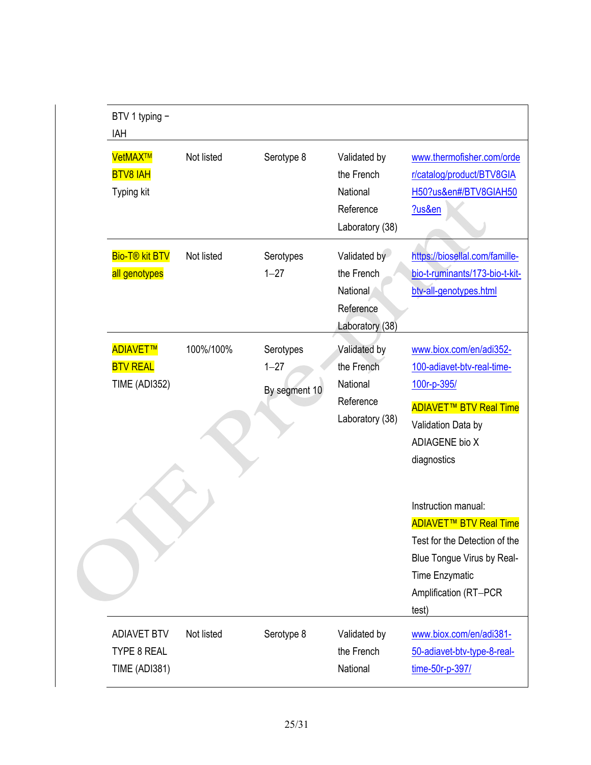| BTV 1 typing -<br>IAH                                            |            |                                        |                                                                        |                                                                                                                                                                                                                                                                                                                                           |
|------------------------------------------------------------------|------------|----------------------------------------|------------------------------------------------------------------------|-------------------------------------------------------------------------------------------------------------------------------------------------------------------------------------------------------------------------------------------------------------------------------------------------------------------------------------------|
| VetMAX <sup>™</sup><br><b>BTV8 IAH</b><br>Typing kit             | Not listed | Serotype 8                             | Validated by<br>the French<br>National<br>Reference<br>Laboratory (38) | www.thermofisher.com/orde<br>r/catalog/product/BTV8GIA<br>H50?us&en#/BTV8GIAH50<br>?us&en                                                                                                                                                                                                                                                 |
| <b>Bio-T® kit BTV</b><br>all genotypes                           | Not listed | Serotypes<br>$1 - 27$                  | Validated by<br>the French<br>National<br>Reference<br>Laboratory (38) | https://biosellal.com/famille-<br>bio-t-ruminants/173-bio-t-kit-<br>btv-all-genotypes.html                                                                                                                                                                                                                                                |
| ADIAVET™<br><b>BTV REAL</b><br><b>TIME (ADI352)</b>              | 100%/100%  | Serotypes<br>$1 - 27$<br>By segment 10 | Validated by<br>the French<br>National<br>Reference<br>Laboratory (38) | www.biox.com/en/adi352-<br>100-adiavet-btv-real-time-<br>100r-p-395/<br><b>ADIAVET<sup>™</sup> BTV Real Time</b><br>Validation Data by<br><b>ADIAGENE bio X</b><br>diagnostics<br>Instruction manual:<br><b>ADIAVET<sup>™</sup> BTV Real Time</b><br>Test for the Detection of the<br>Blue Tongue Virus by Real-<br><b>Time Enzymatic</b> |
|                                                                  |            |                                        |                                                                        | Amplification (RT-PCR<br>test)                                                                                                                                                                                                                                                                                                            |
| <b>ADIAVET BTV</b><br><b>TYPE 8 REAL</b><br><b>TIME (ADI381)</b> | Not listed | Serotype 8                             | Validated by<br>the French<br>National                                 | www.biox.com/en/adi381-<br>50-adiavet-btv-type-8-real-<br>time-50r-p-397/                                                                                                                                                                                                                                                                 |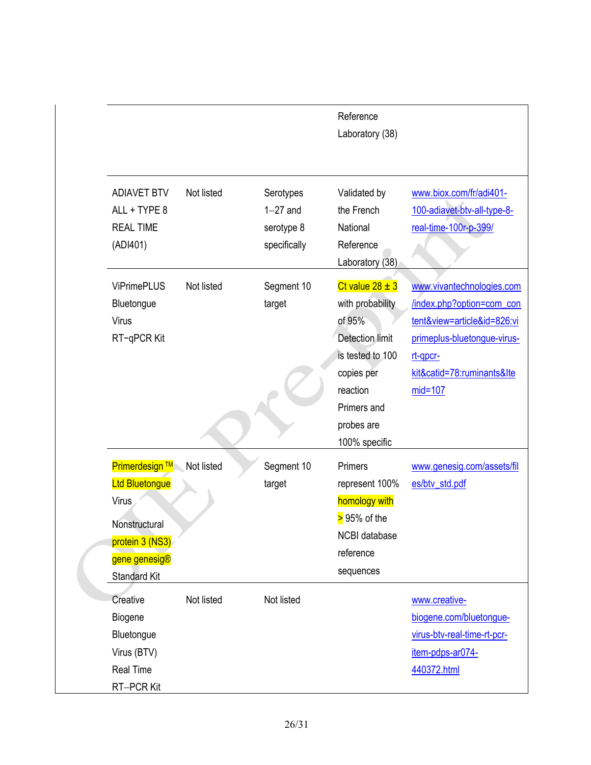|                                                                                                                                     |            |                                                       | Reference<br>Laboratory (38)                                                                                                                                            |                                                                                                                                                                             |
|-------------------------------------------------------------------------------------------------------------------------------------|------------|-------------------------------------------------------|-------------------------------------------------------------------------------------------------------------------------------------------------------------------------|-----------------------------------------------------------------------------------------------------------------------------------------------------------------------------|
| <b>ADIAVET BTV</b><br>ALL + TYPE 8<br><b>REAL TIME</b><br>(ADI401)                                                                  | Not listed | Serotypes<br>$1-27$ and<br>serotype 8<br>specifically | Validated by<br>the French<br>National<br>Reference<br>Laboratory (38)                                                                                                  | www.biox.com/fr/adi401-<br>100-adiavet-btv-all-type-8-<br>real-time-100r-p-399/                                                                                             |
| <b>ViPrimePLUS</b><br>Bluetongue<br>Virus<br>RT-qPCR Kit                                                                            | Not listed | Segment 10<br>target                                  | Ct value $28 \pm 3$<br>with probability<br>of 95%<br><b>Detection limit</b><br>is tested to 100<br>copies per<br>reaction<br>Primers and<br>probes are<br>100% specific | www.vivantechnologies.com<br>/index.php?option=com_con<br>tent&view=article&id=826:vi<br>primeplus-bluetongue-virus-<br>rt-apcr-<br>kit&catid=78:ruminants&Ite<br>$mid=107$ |
| <b>Primerdesign ™</b><br>Ltd Bluetongue<br><b>Virus</b><br>Nonstructural<br>protein 3 (NS3)<br>gene genesig®<br><b>Standard Kit</b> | Not listed | Segment 10<br>target                                  | <b>Primers</b><br>represent 100%<br>homology with<br>$> 95%$ of the<br>NCBI database<br>reference<br>sequences                                                          | www.genesig.com/assets/fil<br>es/btv_std.pdf                                                                                                                                |
| Creative<br>Biogene<br>Bluetongue<br>Virus (BTV)<br>Real Time<br>RT-PCR Kit                                                         | Not listed | Not listed                                            |                                                                                                                                                                         | www.creative-<br>biogene.com/bluetongue-<br>virus-btv-real-time-rt-pcr-<br>item-pdps-ar074-<br>440372.html                                                                  |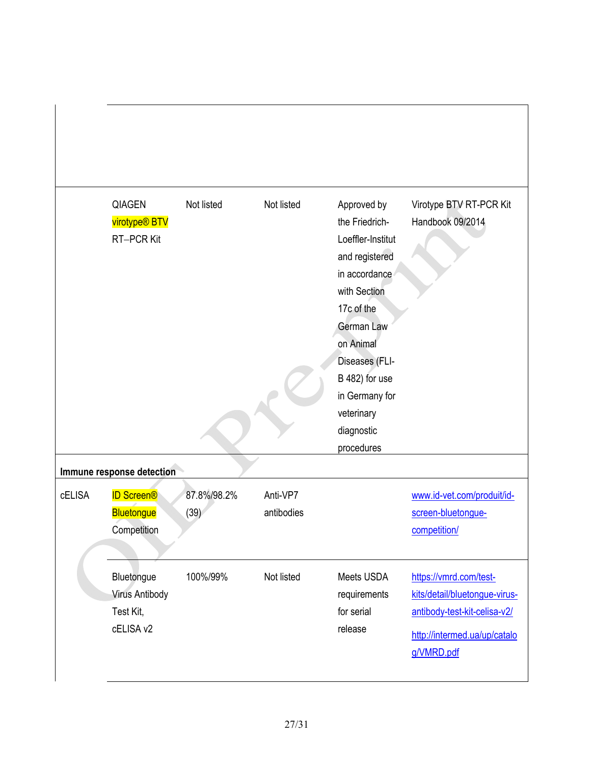|               | <b>QIAGEN</b><br>virotype <sup>®</sup> BTV<br><b>RT-PCR Kit</b> | Not listed          | Not listed             | Approved by<br>the Friedrich-<br>Loeffler-Institut<br>and registered<br>in accordance<br>with Section<br>17c of the<br>German Law<br>on Animal<br>Diseases (FLI-<br>B 482) for use<br>in Germany for<br>veterinary<br>diagnostic<br>procedures | Virotype BTV RT-PCR Kit<br>Handbook 09/2014                                                                                           |
|---------------|-----------------------------------------------------------------|---------------------|------------------------|------------------------------------------------------------------------------------------------------------------------------------------------------------------------------------------------------------------------------------------------|---------------------------------------------------------------------------------------------------------------------------------------|
|               | Immune response detection                                       |                     |                        |                                                                                                                                                                                                                                                |                                                                                                                                       |
| <b>cELISA</b> | <b>ID Screen®</b><br><b>Bluetongue</b><br>Competition           | 87.8%/98.2%<br>(39) | Anti-VP7<br>antibodies |                                                                                                                                                                                                                                                | www.id-vet.com/produit/id-<br>screen-bluetonque-<br>competition/                                                                      |
|               | Bluetongue<br><b>Virus Antibody</b><br>Test Kit,<br>cELISA v2   | 100%/99%            | Not listed             | Meets USDA<br>requirements<br>for serial<br>release                                                                                                                                                                                            | https://vmrd.com/test-<br>kits/detail/bluetongue-virus-<br>antibody-test-kit-celisa-v2/<br>http://intermed.ua/up/catalo<br>g/VMRD.pdf |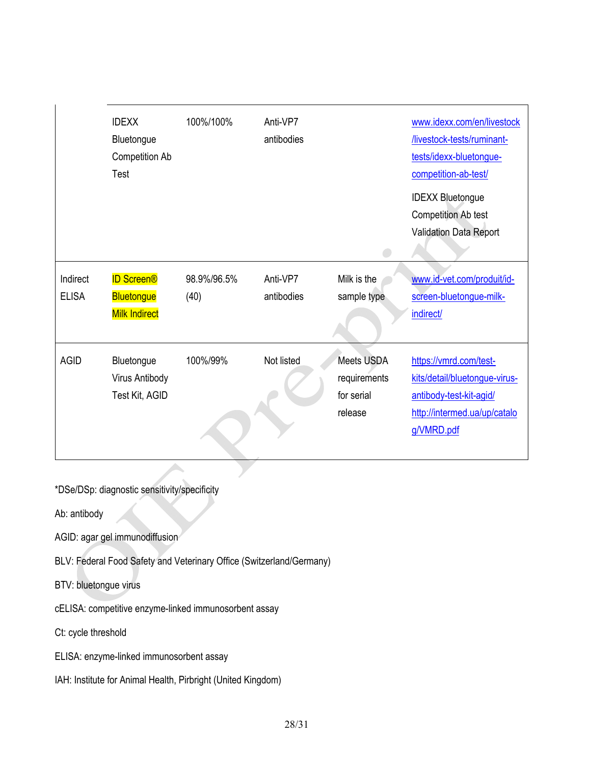|              | <b>IDEXX</b>          | 100%/100%   | Anti-VP7   |              | www.idexx.com/en/livestock    |
|--------------|-----------------------|-------------|------------|--------------|-------------------------------|
|              | Bluetongue            |             | antibodies |              | /livestock-tests/ruminant-    |
|              | <b>Competition Ab</b> |             |            |              | tests/idexx-bluetongue-       |
|              | Test                  |             |            |              | competition-ab-test/          |
|              |                       |             |            |              | <b>IDEXX Bluetongue</b>       |
|              |                       |             |            |              | <b>Competition Ab test</b>    |
|              |                       |             |            |              | Validation Data Report        |
|              |                       |             |            |              |                               |
| Indirect     | <b>ID Screen®</b>     | 98.9%/96.5% | Anti-VP7   | Milk is the  | www.id-vet.com/produit/id-    |
| <b>ELISA</b> | <b>Bluetongue</b>     | (40)        | antibodies | sample type  | screen-bluetongue-milk-       |
|              | <b>Milk Indirect</b>  |             |            |              | indirect/                     |
|              |                       |             |            |              |                               |
| <b>AGID</b>  | Bluetongue            | 100%/99%    | Not listed | Meets USDA   | https://vmrd.com/test-        |
|              | Virus Antibody        |             |            | requirements | kits/detail/bluetongue-virus- |
|              | Test Kit, AGID        |             |            | for serial   | antibody-test-kit-agid/       |
|              |                       |             |            | release      | http://intermed.ua/up/catalo  |
|              |                       |             |            |              | g/VMRD.pdf                    |
|              |                       |             |            |              |                               |

\*DSe/DSp: diagnostic sensitivity/specificity

Ab: antibody

AGID: agar gel immunodiffusion

BLV: Federal Food Safety and Veterinary Office (Switzerland/Germany)

BTV: bluetongue virus

cELISA: competitive enzyme-linked immunosorbent assay

Ct: cycle threshold

ELISA: enzyme-linked immunosorbent assay

IAH: Institute for Animal Health, Pirbright (United Kingdom)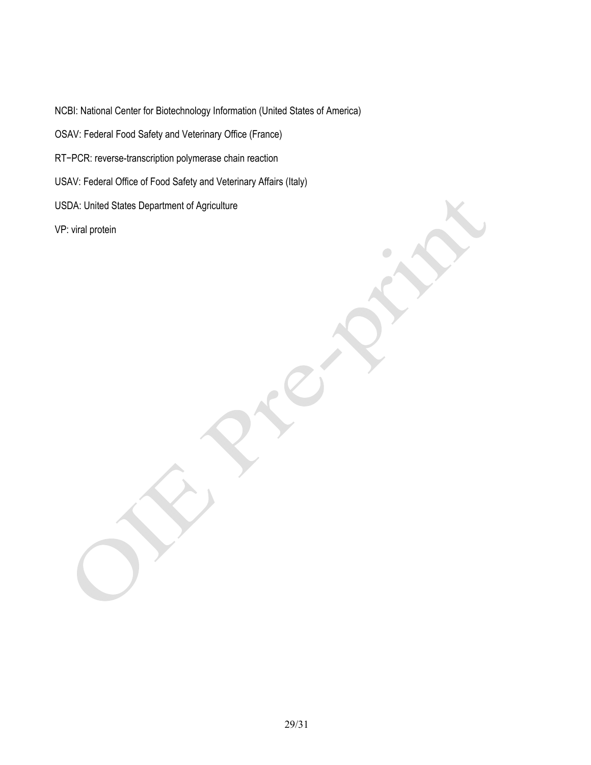NCBI: National Center for Biotechnology Information (United States of America)

OSAV: Federal Food Safety and Veterinary Office (France)

RT−PCR: reverse-transcription polymerase chain reaction

USAV: Federal Office of Food Safety and Veterinary Affairs (Italy)

USDA: United States Department of Agriculture

VP: viral protein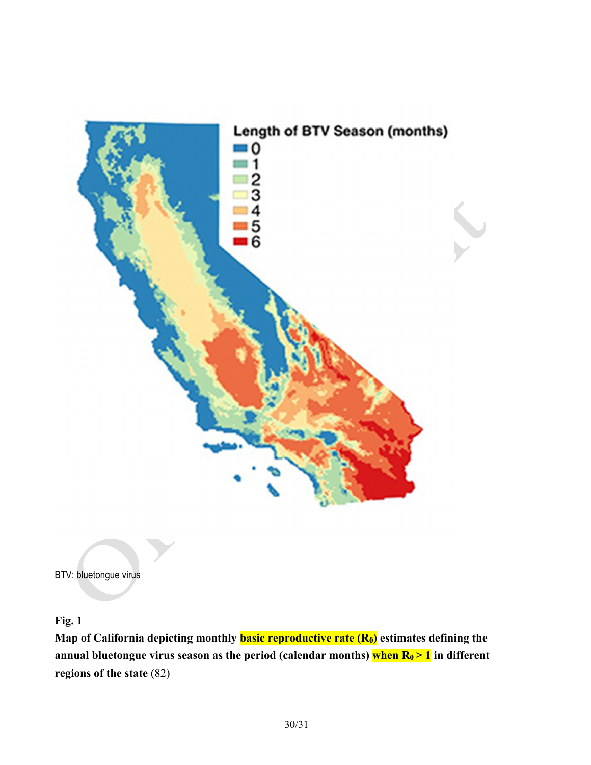

BTV: bluetongue virus

**Fig. 1** 

**Map of California depicting monthly <b>basic reproductive rate (R0)** estimates defining the annual bluetongue virus season as the period (calendar months) when  $R_0$  > 1 in different **regions of the state** (82)